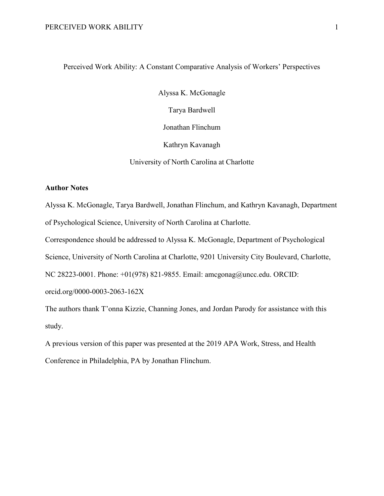# Perceived Work Ability: A Constant Comparative Analysis of Workers' Perspectives

Alyssa K. McGonagle

Tarya Bardwell

Jonathan Flinchum

Kathryn Kavanagh

University of North Carolina at Charlotte

# **Author Notes**

Alyssa K. McGonagle, Tarya Bardwell, Jonathan Flinchum, and Kathryn Kavanagh, Department of Psychological Science, University of North Carolina at Charlotte.

Correspondence should be addressed to Alyssa K. McGonagle, Department of Psychological

Science, University of North Carolina at Charlotte, 9201 University City Boulevard, Charlotte,

NC 28223-0001. Phone: +01(978) 821-9855. Email: amcgonag@uncc.edu. ORCID:

orcid.org/0000-0003-2063-162X

The authors thank T'onna Kizzie, Channing Jones, and Jordan Parody for assistance with this study.

A previous version of this paper was presented at the 2019 APA Work, Stress, and Health Conference in Philadelphia, PA by Jonathan Flinchum.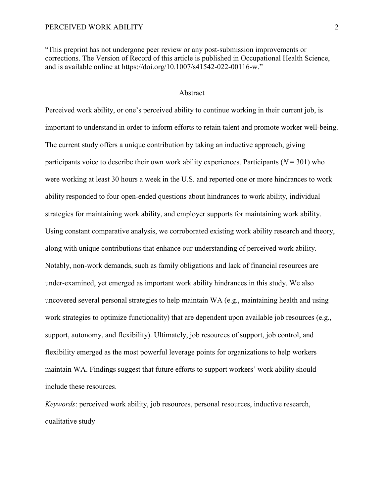"This preprint has not undergone peer review or any post-submission improvements or corrections. The Version of Record of this article is published in Occupational Health Science, and is available online at https://doi.org/10.1007/s41542-022-00116-w."

## Abstract

Perceived work ability, or one's perceived ability to continue working in their current job, is important to understand in order to inform efforts to retain talent and promote worker well-being. The current study offers a unique contribution by taking an inductive approach, giving participants voice to describe their own work ability experiences. Participants ( $N = 301$ ) who were working at least 30 hours a week in the U.S. and reported one or more hindrances to work ability responded to four open-ended questions about hindrances to work ability, individual strategies for maintaining work ability, and employer supports for maintaining work ability. Using constant comparative analysis, we corroborated existing work ability research and theory, along with unique contributions that enhance our understanding of perceived work ability. Notably, non-work demands, such as family obligations and lack of financial resources are under-examined, yet emerged as important work ability hindrances in this study. We also uncovered several personal strategies to help maintain WA (e.g., maintaining health and using work strategies to optimize functionality) that are dependent upon available job resources (e.g., support, autonomy, and flexibility). Ultimately, job resources of support, job control, and flexibility emerged as the most powerful leverage points for organizations to help workers maintain WA. Findings suggest that future efforts to support workers' work ability should include these resources.

*Keywords*: perceived work ability, job resources, personal resources, inductive research, qualitative study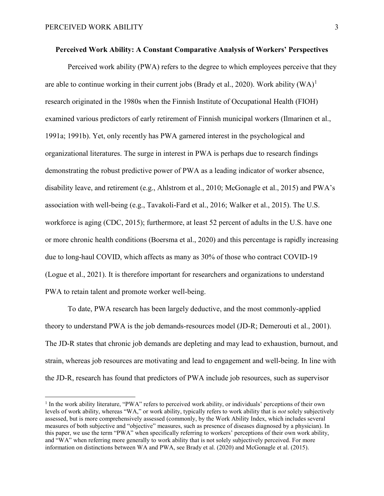Perceived work ability (PWA) refers to the degree to which employees perceive that they are able to continue working in their current jobs (Brady et al., 2020). Work ability  $(WA)^{1}$  $(WA)^{1}$  $(WA)^{1}$ research originated in the 1980s when the Finnish Institute of Occupational Health (FIOH) examined various predictors of early retirement of Finnish municipal workers (Ilmarinen et al., 1991a; 1991b). Yet, only recently has PWA garnered interest in the psychological and organizational literatures. The surge in interest in PWA is perhaps due to research findings demonstrating the robust predictive power of PWA as a leading indicator of worker absence, disability leave, and retirement (e.g., Ahlstrom et al., 2010; McGonagle et al., 2015) and PWA's association with well-being (e.g., Tavakoli-Fard et al., 2016; Walker et al., 2015). The U.S. workforce is aging (CDC, 2015); furthermore, at least 52 percent of adults in the U.S. have one or more chronic health conditions (Boersma et al., 2020) and this percentage is rapidly increasing due to long-haul COVID, which affects as many as 30% of those who contract COVID-19 (Logue et al., 2021). It is therefore important for researchers and organizations to understand PWA to retain talent and promote worker well-being.

To date, PWA research has been largely deductive, and the most commonly-applied theory to understand PWA is the job demands-resources model (JD-R; Demerouti et al., 2001). The JD-R states that chronic job demands are depleting and may lead to exhaustion, burnout, and strain, whereas job resources are motivating and lead to engagement and well-being. In line with the JD-R, research has found that predictors of PWA include job resources, such as supervisor

<span id="page-2-0"></span> <sup>1</sup> In the work ability literature, "PWA" refers to perceived work ability, or individuals' perceptions of their own levels of work ability, whereas "WA," or work ability, typically refers to work ability that is *not* solely subjectively assessed, but is more comprehensively assessed (commonly, by the Work Ability Index, which includes several measures of both subjective and "objective" measures, such as presence of diseases diagnosed by a physician). In this paper, we use the term "PWA" when specifically referring to workers' perceptions of their own work ability, and "WA" when referring more generally to work ability that is not solely subjectively perceived. For more information on distinctions between WA and PWA, see Brady et al. (2020) and McGonagle et al. (2015).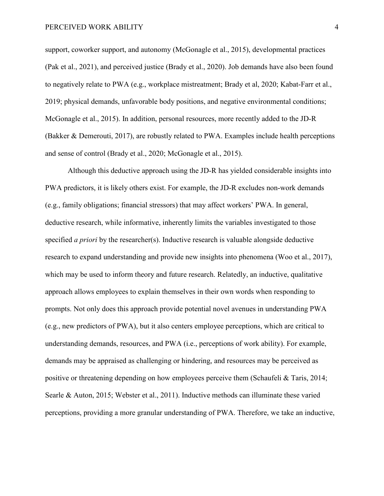support, coworker support, and autonomy (McGonagle et al., 2015), developmental practices (Pak et al., 2021), and perceived justice (Brady et al., 2020). Job demands have also been found to negatively relate to PWA (e.g., workplace mistreatment; Brady et al, 2020; Kabat-Farr et al., 2019; physical demands, unfavorable body positions, and negative environmental conditions; McGonagle et al., 2015). In addition, personal resources, more recently added to the JD-R (Bakker & Demerouti, 2017), are robustly related to PWA. Examples include health perceptions and sense of control (Brady et al., 2020; McGonagle et al., 2015).

Although this deductive approach using the JD-R has yielded considerable insights into PWA predictors, it is likely others exist. For example, the JD-R excludes non-work demands (e.g., family obligations; financial stressors) that may affect workers' PWA. In general, deductive research, while informative, inherently limits the variables investigated to those specified *a priori* by the researcher(s). Inductive research is valuable alongside deductive research to expand understanding and provide new insights into phenomena (Woo et al., 2017), which may be used to inform theory and future research. Relatedly, an inductive, qualitative approach allows employees to explain themselves in their own words when responding to prompts. Not only does this approach provide potential novel avenues in understanding PWA (e.g., new predictors of PWA), but it also centers employee perceptions, which are critical to understanding demands, resources, and PWA (i.e., perceptions of work ability). For example, demands may be appraised as challenging or hindering, and resources may be perceived as positive or threatening depending on how employees perceive them (Schaufeli & Taris, 2014; Searle & Auton, 2015; Webster et al., 2011). Inductive methods can illuminate these varied perceptions, providing a more granular understanding of PWA. Therefore, we take an inductive,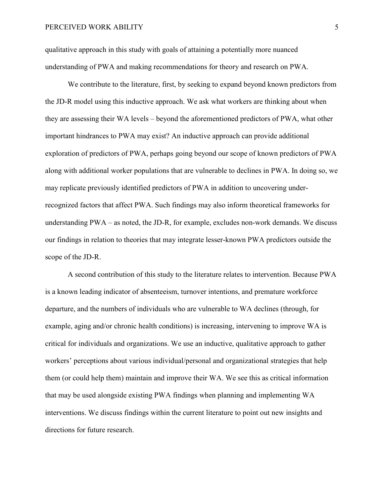qualitative approach in this study with goals of attaining a potentially more nuanced understanding of PWA and making recommendations for theory and research on PWA.

We contribute to the literature, first, by seeking to expand beyond known predictors from the JD-R model using this inductive approach. We ask what workers are thinking about when they are assessing their WA levels – beyond the aforementioned predictors of PWA, what other important hindrances to PWA may exist? An inductive approach can provide additional exploration of predictors of PWA, perhaps going beyond our scope of known predictors of PWA along with additional worker populations that are vulnerable to declines in PWA. In doing so, we may replicate previously identified predictors of PWA in addition to uncovering underrecognized factors that affect PWA. Such findings may also inform theoretical frameworks for understanding PWA – as noted, the JD-R, for example, excludes non-work demands. We discuss our findings in relation to theories that may integrate lesser-known PWA predictors outside the scope of the JD-R.

A second contribution of this study to the literature relates to intervention. Because PWA is a known leading indicator of absenteeism, turnover intentions, and premature workforce departure, and the numbers of individuals who are vulnerable to WA declines (through, for example, aging and/or chronic health conditions) is increasing, intervening to improve WA is critical for individuals and organizations. We use an inductive, qualitative approach to gather workers' perceptions about various individual/personal and organizational strategies that help them (or could help them) maintain and improve their WA. We see this as critical information that may be used alongside existing PWA findings when planning and implementing WA interventions. We discuss findings within the current literature to point out new insights and directions for future research.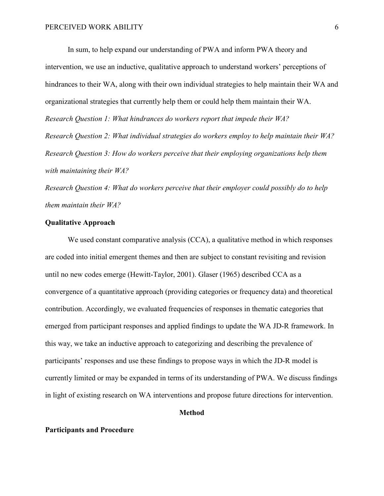In sum, to help expand our understanding of PWA and inform PWA theory and intervention, we use an inductive, qualitative approach to understand workers' perceptions of hindrances to their WA, along with their own individual strategies to help maintain their WA and organizational strategies that currently help them or could help them maintain their WA. *Research Question 1: What hindrances do workers report that impede their WA? Research Question 2: What individual strategies do workers employ to help maintain their WA? Research Question 3: How do workers perceive that their employing organizations help them with maintaining their WA?* 

*Research Question 4: What do workers perceive that their employer could possibly do to help them maintain their WA?*

# **Qualitative Approach**

We used constant comparative analysis (CCA), a qualitative method in which responses are coded into initial emergent themes and then are subject to constant revisiting and revision until no new codes emerge (Hewitt-Taylor, 2001). Glaser (1965) described CCA as a convergence of a quantitative approach (providing categories or frequency data) and theoretical contribution. Accordingly, we evaluated frequencies of responses in thematic categories that emerged from participant responses and applied findings to update the WA JD-R framework. In this way, we take an inductive approach to categorizing and describing the prevalence of participants' responses and use these findings to propose ways in which the JD-R model is currently limited or may be expanded in terms of its understanding of PWA. We discuss findings in light of existing research on WA interventions and propose future directions for intervention.

# **Method**

## **Participants and Procedure**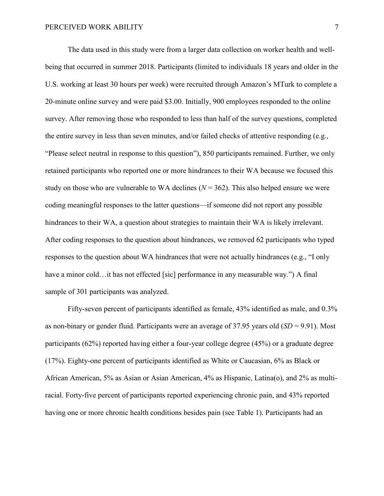The data used in this study were from a larger data collection on worker health and wellbeing that occurred in summer 2018. Participants (limited to individuals 18 years and older in the U.S. working at least 30 hours per week) were recruited through Amazon's MTurk to complete a 20-minute online survey and were paid \$3.00. Initially, 900 employees responded to the online survey. After removing those who responded to less than half of the survey questions, completed the entire survey in less than seven minutes, and/or failed checks of attentive responding (e.g., "Please select neutral in response to this question"), 850 participants remained. Further, we only retained participants who reported one or more hindrances to their WA because we focused this study on those who are vulnerable to WA declines  $(N = 362)$ . This also helped ensure we were coding meaningful responses to the latter questions—if someone did not report any possible hindrances to their WA, a question about strategies to maintain their WA is likely irrelevant. After coding responses to the question about hindrances, we removed 62 participants who typed responses to the question about WA hindrances that were not actually hindrances (e.g., "I only have a minor cold…it has not effected [sic] performance in any measurable way.") A final sample of 301 participants was analyzed.

Fifty-seven percent of participants identified as female, 43% identified as male, and 0.3% as non-binary or gender fluid. Participants were an average of 37.95 years old (*SD* = 9.91). Most participants (62%) reported having either a four-year college degree (45%) or a graduate degree (17%). Eighty-one percent of participants identified as White or Caucasian, 6% as Black or African American, 5% as Asian or Asian American, 4% as Hispanic, Latina(o), and 2% as multiracial. Forty-five percent of participants reported experiencing chronic pain, and 43% reported having one or more chronic health conditions besides pain (see Table 1). Participants had an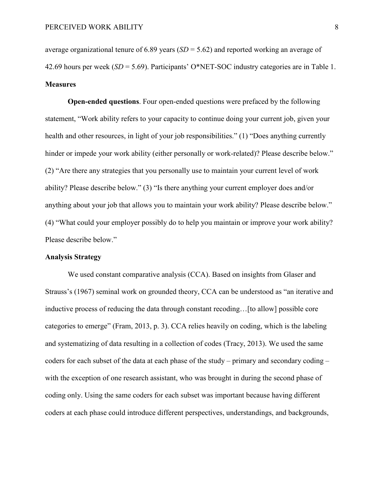average organizational tenure of 6.89 years (*SD* = 5.62) and reported working an average of 42.69 hours per week (*SD* = 5.69). Participants' O\*NET-SOC industry categories are in Table 1. **Measures** 

**Open-ended questions**. Four open-ended questions were prefaced by the following statement, "Work ability refers to your capacity to continue doing your current job, given your health and other resources, in light of your job responsibilities." (1) "Does anything currently hinder or impede your work ability (either personally or work-related)? Please describe below." (2) "Are there any strategies that you personally use to maintain your current level of work ability? Please describe below." (3) "Is there anything your current employer does and/or anything about your job that allows you to maintain your work ability? Please describe below." (4) "What could your employer possibly do to help you maintain or improve your work ability? Please describe below."

#### **Analysis Strategy**

We used constant comparative analysis (CCA). Based on insights from Glaser and Strauss's (1967) seminal work on grounded theory, CCA can be understood as "an iterative and inductive process of reducing the data through constant recoding…[to allow] possible core categories to emerge" (Fram, 2013, p. 3). CCA relies heavily on coding, which is the labeling and systematizing of data resulting in a collection of codes (Tracy, 2013). We used the same coders for each subset of the data at each phase of the study – primary and secondary coding – with the exception of one research assistant, who was brought in during the second phase of coding only. Using the same coders for each subset was important because having different coders at each phase could introduce different perspectives, understandings, and backgrounds,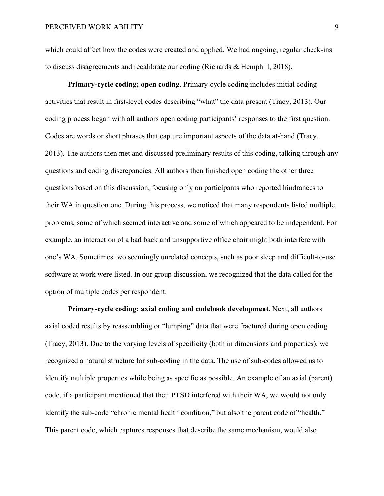which could affect how the codes were created and applied. We had ongoing, regular check-ins to discuss disagreements and recalibrate our coding (Richards & Hemphill, 2018).

**Primary-cycle coding; open coding**. Primary-cycle coding includes initial coding activities that result in first-level codes describing "what" the data present (Tracy, 2013). Our coding process began with all authors open coding participants' responses to the first question. Codes are words or short phrases that capture important aspects of the data at-hand (Tracy, 2013). The authors then met and discussed preliminary results of this coding, talking through any questions and coding discrepancies. All authors then finished open coding the other three questions based on this discussion, focusing only on participants who reported hindrances to their WA in question one. During this process, we noticed that many respondents listed multiple problems, some of which seemed interactive and some of which appeared to be independent. For example, an interaction of a bad back and unsupportive office chair might both interfere with one's WA. Sometimes two seemingly unrelated concepts, such as poor sleep and difficult-to-use software at work were listed. In our group discussion, we recognized that the data called for the option of multiple codes per respondent.

**Primary-cycle coding; axial coding and codebook development**. Next, all authors axial coded results by reassembling or "lumping" data that were fractured during open coding (Tracy, 2013). Due to the varying levels of specificity (both in dimensions and properties), we recognized a natural structure for sub-coding in the data. The use of sub-codes allowed us to identify multiple properties while being as specific as possible. An example of an axial (parent) code, if a participant mentioned that their PTSD interfered with their WA, we would not only identify the sub-code "chronic mental health condition," but also the parent code of "health." This parent code, which captures responses that describe the same mechanism, would also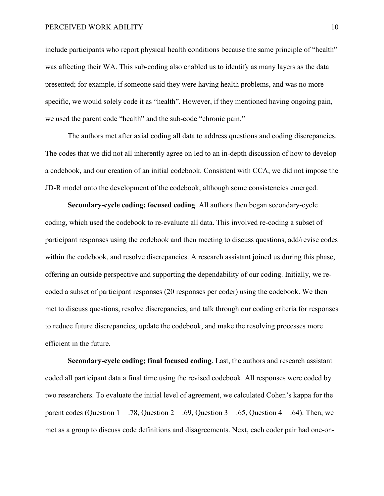include participants who report physical health conditions because the same principle of "health" was affecting their WA. This sub-coding also enabled us to identify as many layers as the data presented; for example, if someone said they were having health problems, and was no more specific, we would solely code it as "health". However, if they mentioned having ongoing pain, we used the parent code "health" and the sub-code "chronic pain."

The authors met after axial coding all data to address questions and coding discrepancies. The codes that we did not all inherently agree on led to an in-depth discussion of how to develop a codebook, and our creation of an initial codebook. Consistent with CCA, we did not impose the JD-R model onto the development of the codebook, although some consistencies emerged.

**Secondary-cycle coding; focused coding**. All authors then began secondary-cycle coding, which used the codebook to re-evaluate all data. This involved re-coding a subset of participant responses using the codebook and then meeting to discuss questions, add/revise codes within the codebook, and resolve discrepancies. A research assistant joined us during this phase, offering an outside perspective and supporting the dependability of our coding. Initially, we recoded a subset of participant responses (20 responses per coder) using the codebook. We then met to discuss questions, resolve discrepancies, and talk through our coding criteria for responses to reduce future discrepancies, update the codebook, and make the resolving processes more efficient in the future.

**Secondary-cycle coding; final focused coding**. Last, the authors and research assistant coded all participant data a final time using the revised codebook. All responses were coded by two researchers. To evaluate the initial level of agreement, we calculated Cohen's kappa for the parent codes (Question 1 = .78, Question 2 = .69, Question 3 = .65, Question 4 = .64). Then, we met as a group to discuss code definitions and disagreements. Next, each coder pair had one-on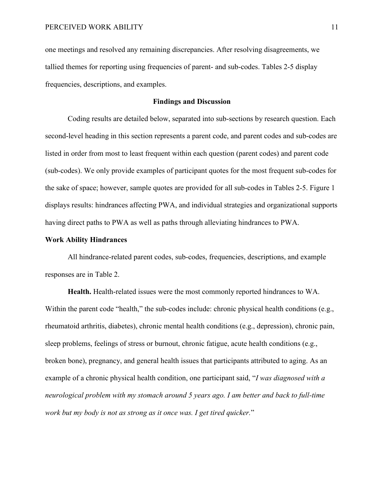one meetings and resolved any remaining discrepancies. After resolving disagreements, we tallied themes for reporting using frequencies of parent- and sub-codes. Tables 2-5 display frequencies, descriptions, and examples.

# **Findings and Discussion**

Coding results are detailed below, separated into sub-sections by research question. Each second-level heading in this section represents a parent code, and parent codes and sub-codes are listed in order from most to least frequent within each question (parent codes) and parent code (sub-codes). We only provide examples of participant quotes for the most frequent sub-codes for the sake of space; however, sample quotes are provided for all sub-codes in Tables 2-5. Figure 1 displays results: hindrances affecting PWA, and individual strategies and organizational supports having direct paths to PWA as well as paths through alleviating hindrances to PWA.

## **Work Ability Hindrances**

All hindrance-related parent codes, sub-codes, frequencies, descriptions, and example responses are in Table 2.

**Health.** Health-related issues were the most commonly reported hindrances to WA. Within the parent code "health," the sub-codes include: chronic physical health conditions (e.g., rheumatoid arthritis, diabetes), chronic mental health conditions (e.g., depression), chronic pain, sleep problems, feelings of stress or burnout, chronic fatigue, acute health conditions (e.g., broken bone), pregnancy, and general health issues that participants attributed to aging. As an example of a chronic physical health condition, one participant said, "*I was diagnosed with a neurological problem with my stomach around 5 years ago. I am better and back to full-time work but my body is not as strong as it once was. I get tired quicker.*"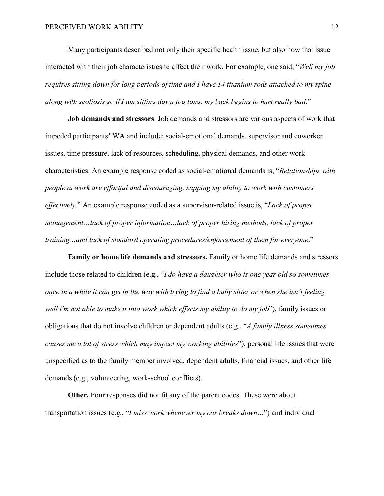Many participants described not only their specific health issue, but also how that issue interacted with their job characteristics to affect their work. For example, one said, "*Well my job requires sitting down for long periods of time and I have 14 titanium rods attached to my spine along with scoliosis so if I am sitting down too long, my back begins to hurt really bad*."

**Job demands and stressors**. Job demands and stressors are various aspects of work that impeded participants' WA and include: social-emotional demands, supervisor and coworker issues, time pressure, lack of resources, scheduling, physical demands, and other work characteristics. An example response coded as social-emotional demands is, "*Relationships with people at work are effortful and discouraging, sapping my ability to work with customers effectively*." An example response coded as a supervisor-related issue is, "*Lack of proper management…lack of proper information…lack of proper hiring methods, lack of proper training…and lack of standard operating procedures/enforcement of them for everyone*."

**Family or home life demands and stressors.** Family or home life demands and stressors include those related to children (e.g., "*I do have a daughter who is one year old so sometimes once in a while it can get in the way with trying to find a baby sitter or when she isn't feeling well i'm not able to make it into work which effects my ability to do my job*"), family issues or obligations that do not involve children or dependent adults (e.g., "*A family illness sometimes causes me a lot of stress which may impact my working abilities*"), personal life issues that were unspecified as to the family member involved, dependent adults, financial issues, and other life demands (e.g., volunteering, work-school conflicts).

**Other.** Four responses did not fit any of the parent codes. These were about transportation issues (e.g., "*I miss work whenever my car breaks down…*") and individual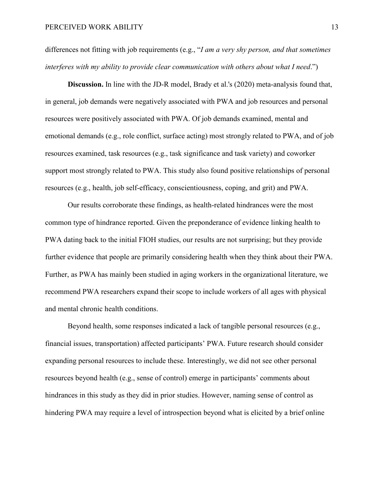differences not fitting with job requirements (e.g., "*I am a very shy person, and that sometimes interferes with my ability to provide clear communication with others about what I need*.")

**Discussion.** In line with the JD-R model, Brady et al.'s (2020) meta-analysis found that, in general, job demands were negatively associated with PWA and job resources and personal resources were positively associated with PWA. Of job demands examined, mental and emotional demands (e.g., role conflict, surface acting) most strongly related to PWA, and of job resources examined, task resources (e.g., task significance and task variety) and coworker support most strongly related to PWA. This study also found positive relationships of personal resources (e.g., health, job self-efficacy, conscientiousness, coping, and grit) and PWA.

Our results corroborate these findings, as health-related hindrances were the most common type of hindrance reported. Given the preponderance of evidence linking health to PWA dating back to the initial FIOH studies, our results are not surprising; but they provide further evidence that people are primarily considering health when they think about their PWA. Further, as PWA has mainly been studied in aging workers in the organizational literature, we recommend PWA researchers expand their scope to include workers of all ages with physical and mental chronic health conditions.

Beyond health, some responses indicated a lack of tangible personal resources (e.g., financial issues, transportation) affected participants' PWA. Future research should consider expanding personal resources to include these. Interestingly, we did not see other personal resources beyond health (e.g., sense of control) emerge in participants' comments about hindrances in this study as they did in prior studies. However, naming sense of control as hindering PWA may require a level of introspection beyond what is elicited by a brief online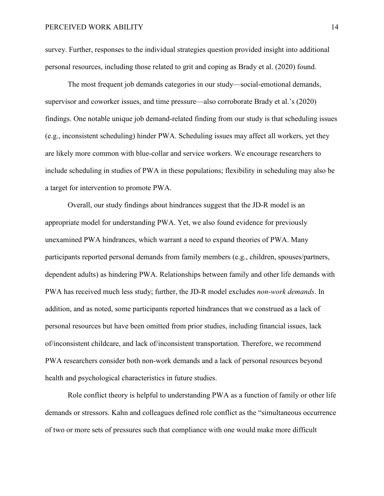survey. Further, responses to the individual strategies question provided insight into additional personal resources, including those related to grit and coping as Brady et al. (2020) found.

The most frequent job demands categories in our study—social-emotional demands, supervisor and coworker issues, and time pressure—also corroborate Brady et al.'s (2020) findings. One notable unique job demand-related finding from our study is that scheduling issues (e.g., inconsistent scheduling) hinder PWA. Scheduling issues may affect all workers, yet they are likely more common with blue-collar and service workers. We encourage researchers to include scheduling in studies of PWA in these populations; flexibility in scheduling may also be a target for intervention to promote PWA.

Overall, our study findings about hindrances suggest that the JD-R model is an appropriate model for understanding PWA. Yet, we also found evidence for previously unexamined PWA hindrances, which warrant a need to expand theories of PWA. Many participants reported personal demands from family members (e.g., children, spouses/partners, dependent adults) as hindering PWA. Relationships between family and other life demands with PWA has received much less study; further, the JD-R model excludes *non-work demands*. In addition, and as noted, some participants reported hindrances that we construed as a lack of personal resources but have been omitted from prior studies, including financial issues, lack of/inconsistent childcare, and lack of/inconsistent transportation. Therefore, we recommend PWA researchers consider both non-work demands and a lack of personal resources beyond health and psychological characteristics in future studies.

Role conflict theory is helpful to understanding PWA as a function of family or other life demands or stressors. Kahn and colleagues defined role conflict as the "simultaneous occurrence of two or more sets of pressures such that compliance with one would make more difficult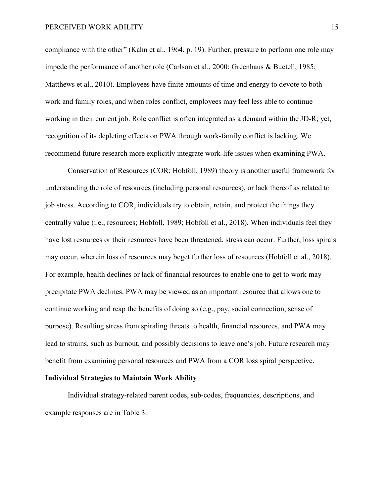compliance with the other" (Kahn et al., 1964, p. 19). Further, pressure to perform one role may impede the performance of another role (Carlson et al., 2000; Greenhaus & Buetell, 1985; Matthews et al., 2010). Employees have finite amounts of time and energy to devote to both work and family roles, and when roles conflict, employees may feel less able to continue working in their current job. Role conflict is often integrated as a demand within the JD-R; yet, recognition of its depleting effects on PWA through work-family conflict is lacking. We recommend future research more explicitly integrate work-life issues when examining PWA.

Conservation of Resources (COR; Hobfoll, 1989) theory is another useful framework for understanding the role of resources (including personal resources), or lack thereof as related to job stress. According to COR, individuals try to obtain, retain, and protect the things they centrally value (i.e., resources; Hobfoll, 1989; Hobfoll et al., 2018). When individuals feel they have lost resources or their resources have been threatened, stress can occur. Further, loss spirals may occur, wherein loss of resources may beget further loss of resources (Hobfoll et al., 2018). For example, health declines or lack of financial resources to enable one to get to work may precipitate PWA declines. PWA may be viewed as an important resource that allows one to continue working and reap the benefits of doing so (e.g., pay, social connection, sense of purpose). Resulting stress from spiraling threats to health, financial resources, and PWA may lead to strains, such as burnout, and possibly decisions to leave one's job. Future research may benefit from examining personal resources and PWA from a COR loss spiral perspective.

## **Individual Strategies to Maintain Work Ability**

Individual strategy-related parent codes, sub-codes, frequencies, descriptions, and example responses are in Table 3.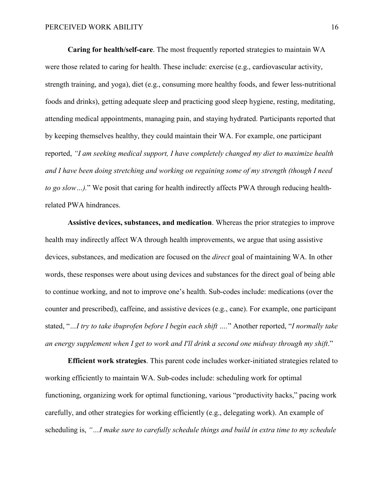**Caring for health/self-care**. The most frequently reported strategies to maintain WA were those related to caring for health. These include: exercise (e.g., cardiovascular activity, strength training, and yoga), diet (e.g., consuming more healthy foods, and fewer less-nutritional foods and drinks), getting adequate sleep and practicing good sleep hygiene, resting, meditating, attending medical appointments, managing pain, and staying hydrated. Participants reported that by keeping themselves healthy, they could maintain their WA. For example, one participant reported, *"I am seeking medical support, I have completely changed my diet to maximize health and I have been doing stretching and working on regaining some of my strength (though I need to go slow…).*" We posit that caring for health indirectly affects PWA through reducing healthrelated PWA hindrances.

**Assistive devices, substances, and medication**. Whereas the prior strategies to improve health may indirectly affect WA through health improvements, we argue that using assistive devices, substances, and medication are focused on the *direct* goal of maintaining WA. In other words, these responses were about using devices and substances for the direct goal of being able to continue working, and not to improve one's health. Sub-codes include: medications (over the counter and prescribed), caffeine, and assistive devices (e.g., cane). For example, one participant stated, "*…I try to take ibuprofen before I begin each shift ….*" Another reported, "*I normally take an energy supplement when I get to work and I'll drink a second one midway through my shift*."

**Efficient work strategies**. This parent code includes worker-initiated strategies related to working efficiently to maintain WA. Sub-codes include: scheduling work for optimal functioning, organizing work for optimal functioning, various "productivity hacks," pacing work carefully, and other strategies for working efficiently (e.g., delegating work). An example of scheduling is, *"…I make sure to carefully schedule things and build in extra time to my schedule*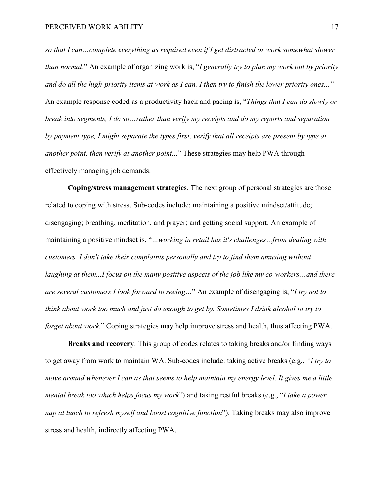*so that I can…complete everything as required even if I get distracted or work somewhat slower than normal*." An example of organizing work is, "*I generally try to plan my work out by priority and do all the high-priority items at work as I can. I then try to finish the lower priority ones..."* An example response coded as a productivity hack and pacing is, "*Things that I can do slowly or break into segments, I do so…rather than verify my receipts and do my reports and separation by payment type, I might separate the types first, verify that all receipts are present by type at another point, then verify at another point..*." These strategies may help PWA through effectively managing job demands.

**Coping/stress management strategies**. The next group of personal strategies are those related to coping with stress. Sub-codes include: maintaining a positive mindset/attitude; disengaging; breathing, meditation, and prayer; and getting social support. An example of maintaining a positive mindset is, "*…working in retail has it's challenges…from dealing with customers. I don't take their complaints personally and try to find them amusing without laughing at them...I focus on the many positive aspects of the job like my co-workers…and there are several customers I look forward to seeing…*" An example of disengaging is, "*I try not to think about work too much and just do enough to get by. Sometimes I drink alcohol to try to forget about work.*" Coping strategies may help improve stress and health, thus affecting PWA.

**Breaks and recovery**. This group of codes relates to taking breaks and/or finding ways to get away from work to maintain WA. Sub-codes include: taking active breaks (e.g., *"I try to move around whenever I can as that seems to help maintain my energy level. It gives me a little mental break too which helps focus my work*") and taking restful breaks (e.g., "*I take a power nap at lunch to refresh myself and boost cognitive function*"). Taking breaks may also improve stress and health, indirectly affecting PWA.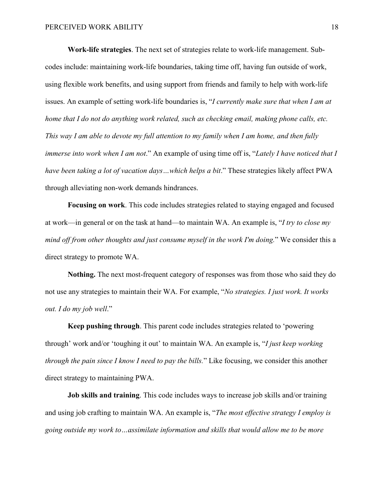**Work-life strategies**. The next set of strategies relate to work-life management. Subcodes include: maintaining work-life boundaries, taking time off, having fun outside of work, using flexible work benefits, and using support from friends and family to help with work-life issues. An example of setting work-life boundaries is, "*I currently make sure that when I am at home that I do not do anything work related, such as checking email, making phone calls, etc. This way I am able to devote my full attention to my family when I am home, and then fully immerse into work when I am not*." An example of using time off is, "*Lately I have noticed that I have been taking a lot of vacation days* ... which helps a bit." These strategies likely affect PWA through alleviating non-work demands hindrances.

**Focusing on work**. This code includes strategies related to staying engaged and focused at work—in general or on the task at hand—to maintain WA. An example is, "*I try to close my mind off from other thoughts and just consume myself in the work I'm doing.*" We consider this a direct strategy to promote WA.

**Nothing.** The next most-frequent category of responses was from those who said they do not use any strategies to maintain their WA. For example, "*No strategies. I just work. It works out. I do my job well*."

**Keep pushing through**. This parent code includes strategies related to 'powering through' work and/or 'toughing it out' to maintain WA. An example is, "*I just keep working through the pain since I know I need to pay the bills.*" Like focusing, we consider this another direct strategy to maintaining PWA.

**Job skills and training**. This code includes ways to increase job skills and/or training and using job crafting to maintain WA. An example is, "*The most effective strategy I employ is going outside my work to…assimilate information and skills that would allow me to be more*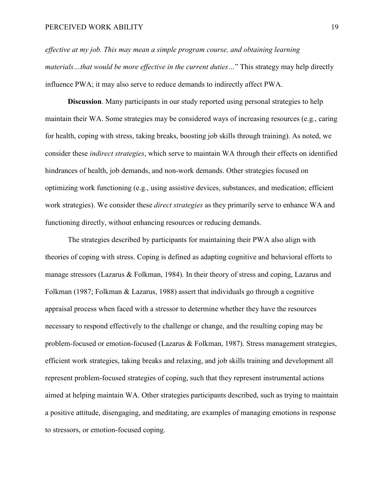*effective at my job. This may mean a simple program course, and obtaining learning materials…that would be more effective in the current duties…*" This strategy may help directly influence PWA; it may also serve to reduce demands to indirectly affect PWA.

**Discussion**. Many participants in our study reported using personal strategies to help maintain their WA. Some strategies may be considered ways of increasing resources (e.g., caring for health, coping with stress, taking breaks, boosting job skills through training). As noted, we consider these *indirect strategies*, which serve to maintain WA through their effects on identified hindrances of health, job demands, and non-work demands. Other strategies focused on optimizing work functioning (e.g., using assistive devices, substances, and medication; efficient work strategies). We consider these *direct strategies* as they primarily serve to enhance WA and functioning directly, without enhancing resources or reducing demands.

The strategies described by participants for maintaining their PWA also align with theories of coping with stress. Coping is defined as adapting cognitive and behavioral efforts to manage stressors (Lazarus & Folkman, 1984). In their theory of stress and coping, Lazarus and Folkman (1987; Folkman & Lazarus, 1988) assert that individuals go through a cognitive appraisal process when faced with a stressor to determine whether they have the resources necessary to respond effectively to the challenge or change, and the resulting coping may be problem-focused or emotion-focused (Lazarus & Folkman, 1987). Stress management strategies, efficient work strategies, taking breaks and relaxing, and job skills training and development all represent problem-focused strategies of coping, such that they represent instrumental actions aimed at helping maintain WA. Other strategies participants described, such as trying to maintain a positive attitude, disengaging, and meditating, are examples of managing emotions in response to stressors, or emotion-focused coping.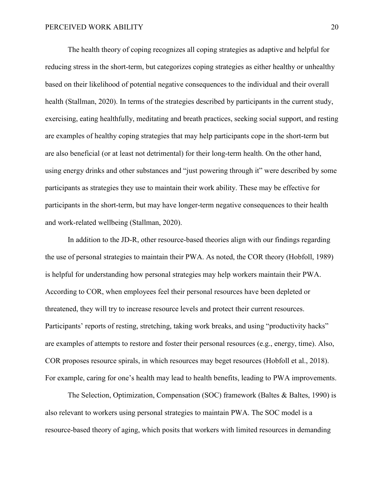The health theory of coping recognizes all coping strategies as adaptive and helpful for reducing stress in the short-term, but categorizes coping strategies as either healthy or unhealthy based on their likelihood of potential negative consequences to the individual and their overall health (Stallman, 2020). In terms of the strategies described by participants in the current study, exercising, eating healthfully, meditating and breath practices, seeking social support, and resting are examples of healthy coping strategies that may help participants cope in the short-term but are also beneficial (or at least not detrimental) for their long-term health. On the other hand, using energy drinks and other substances and "just powering through it" were described by some participants as strategies they use to maintain their work ability. These may be effective for participants in the short-term, but may have longer-term negative consequences to their health and work-related wellbeing (Stallman, 2020).

In addition to the JD-R, other resource-based theories align with our findings regarding the use of personal strategies to maintain their PWA. As noted, the COR theory (Hobfoll, 1989) is helpful for understanding how personal strategies may help workers maintain their PWA. According to COR, when employees feel their personal resources have been depleted or threatened, they will try to increase resource levels and protect their current resources. Participants' reports of resting, stretching, taking work breaks, and using "productivity hacks" are examples of attempts to restore and foster their personal resources (e.g., energy, time). Also, COR proposes resource spirals, in which resources may beget resources (Hobfoll et al., 2018). For example, caring for one's health may lead to health benefits, leading to PWA improvements.

The Selection, Optimization, Compensation (SOC) framework (Baltes & Baltes, 1990) is also relevant to workers using personal strategies to maintain PWA. The SOC model is a resource-based theory of aging, which posits that workers with limited resources in demanding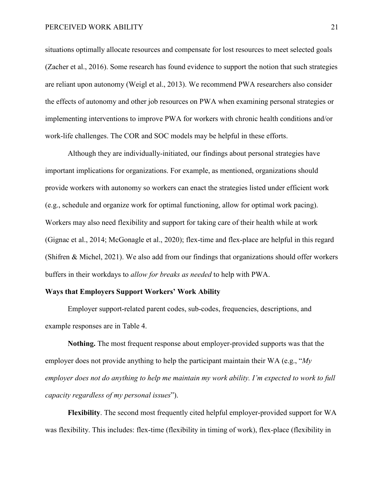situations optimally allocate resources and compensate for lost resources to meet selected goals (Zacher et al., 2016). Some research has found evidence to support the notion that such strategies are reliant upon autonomy (Weigl et al., 2013). We recommend PWA researchers also consider the effects of autonomy and other job resources on PWA when examining personal strategies or implementing interventions to improve PWA for workers with chronic health conditions and/or work-life challenges. The COR and SOC models may be helpful in these efforts.

Although they are individually-initiated, our findings about personal strategies have important implications for organizations. For example, as mentioned, organizations should provide workers with autonomy so workers can enact the strategies listed under efficient work (e.g., schedule and organize work for optimal functioning, allow for optimal work pacing). Workers may also need flexibility and support for taking care of their health while at work (Gignac et al., 2014; McGonagle et al., 2020); flex-time and flex-place are helpful in this regard (Shifren & Michel, 2021). We also add from our findings that organizations should offer workers buffers in their workdays to *allow for breaks as needed* to help with PWA.

## **Ways that Employers Support Workers' Work Ability**

Employer support-related parent codes, sub-codes, frequencies, descriptions, and example responses are in Table 4.

**Nothing.** The most frequent response about employer-provided supports was that the employer does not provide anything to help the participant maintain their WA (e.g., "*My employer does not do anything to help me maintain my work ability. I'm expected to work to full capacity regardless of my personal issues*").

**Flexibility**. The second most frequently cited helpful employer-provided support for WA was flexibility. This includes: flex-time (flexibility in timing of work), flex-place (flexibility in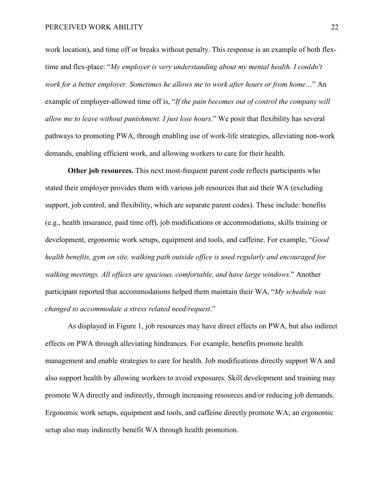work location), and time off or breaks without penalty. This response is an example of both flextime and flex-place: "*My employer is very understanding about my mental health. I couldn't work for a better employer. Sometimes he allows me to work after hours or from home…*" An example of employer-allowed time off is, "*If the pain becomes out of control the company will allow me to leave without punishment. I just lose hours*." We posit that flexibility has several pathways to promoting PWA, through enabling use of work-life strategies, alleviating non-work demands, enabling efficient work, and allowing workers to care for their health.

**Other job resources.** This next most-frequent parent code reflects participants who stated their employer provides them with various job resources that aid their WA (excluding support, job control, and flexibility, which are separate parent codes). These include: benefits (e.g., health insurance, paid time off), job modifications or accommodations, skills training or development, ergonomic work setups, equipment and tools, and caffeine. For example, "*Good health benefits, gym on site, walking path outside office is used regularly and encouraged for walking meetings. All offices are spacious, comfortable, and have large windows*." Another participant reported that accommodations helped them maintain their WA, "*My schedule was changed to accommodate a stress related need/request*."

As displayed in Figure 1, job resources may have direct effects on PWA, but also indirect effects on PWA through alleviating hindrances. For example, benefits promote health management and enable strategies to care for health. Job modifications directly support WA and also support health by allowing workers to avoid exposures. Skill development and training may promote WA directly and indirectly, through increasing resources and/or reducing job demands. Ergonomic work setups, equipment and tools, and caffeine directly promote WA; an ergonomic setup also may indirectly benefit WA through health promotion.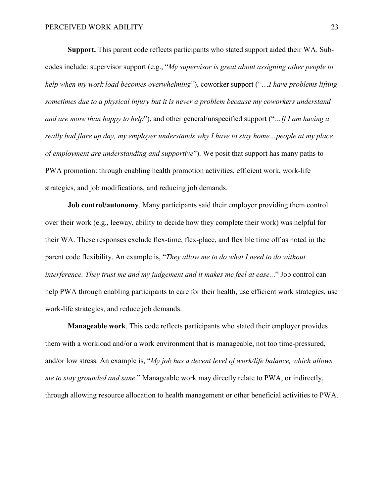**Support.** This parent code reflects participants who stated support aided their WA. Subcodes include: supervisor support (e.g., "*My supervisor is great about assigning other people to help when my work load becomes overwhelming*"), coworker support ("…*I have problems lifting sometimes due to a physical injury but it is never a problem because my coworkers understand and are more than happy to help*"), and other general/unspecified support ("*…If I am having a really bad flare up day, my employer understands why I have to stay home…people at my place of employment are understanding and supportive*"). We posit that support has many paths to PWA promotion: through enabling health promotion activities, efficient work, work-life strategies, and job modifications, and reducing job demands.

**Job control/autonomy**. Many participants said their employer providing them control over their work (e.g., leeway, ability to decide how they complete their work) was helpful for their WA. These responses exclude flex-time, flex-place, and flexible time off as noted in the parent code flexibility. An example is, "*They allow me to do what I need to do without interference. They trust me and my judgement and it makes me feel at ease..*." Job control can help PWA through enabling participants to care for their health, use efficient work strategies, use work-life strategies, and reduce job demands.

**Manageable work**. This code reflects participants who stated their employer provides them with a workload and/or a work environment that is manageable, not too time-pressured, and/or low stress. An example is, "*My job has a decent level of work/life balance, which allows me to stay grounded and sane*." Manageable work may directly relate to PWA, or indirectly, through allowing resource allocation to health management or other beneficial activities to PWA.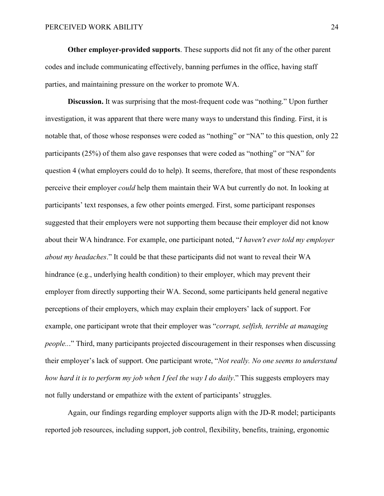**Other employer-provided supports**. These supports did not fit any of the other parent codes and include communicating effectively, banning perfumes in the office, having staff parties, and maintaining pressure on the worker to promote WA.

**Discussion.** It was surprising that the most-frequent code was "nothing." Upon further investigation, it was apparent that there were many ways to understand this finding. First, it is notable that, of those whose responses were coded as "nothing" or "NA" to this question, only 22 participants (25%) of them also gave responses that were coded as "nothing" or "NA" for question 4 (what employers could do to help). It seems, therefore, that most of these respondents perceive their employer *could* help them maintain their WA but currently do not. In looking at participants' text responses, a few other points emerged. First, some participant responses suggested that their employers were not supporting them because their employer did not know about their WA hindrance. For example, one participant noted, "*I haven't ever told my employer about my headaches*." It could be that these participants did not want to reveal their WA hindrance (e.g., underlying health condition) to their employer, which may prevent their employer from directly supporting their WA. Second, some participants held general negative perceptions of their employers, which may explain their employers' lack of support. For example, one participant wrote that their employer was "*corrupt, selfish, terrible at managing people..*." Third, many participants projected discouragement in their responses when discussing their employer's lack of support. One participant wrote, "*Not really. No one seems to understand how hard it is to perform my job when I feel the way I do daily*." This suggests employers may not fully understand or empathize with the extent of participants' struggles.

Again, our findings regarding employer supports align with the JD-R model; participants reported job resources, including support, job control, flexibility, benefits, training, ergonomic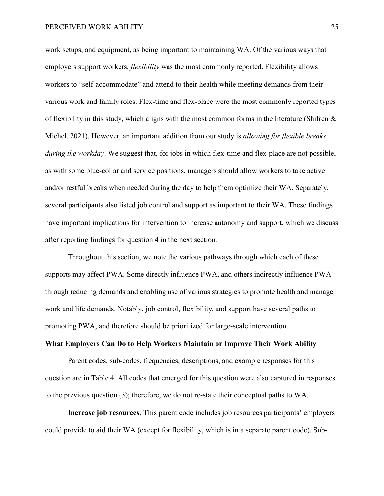work setups, and equipment, as being important to maintaining WA. Of the various ways that employers support workers, *flexibility* was the most commonly reported. Flexibility allows workers to "self-accommodate" and attend to their health while meeting demands from their various work and family roles. Flex-time and flex-place were the most commonly reported types of flexibility in this study, which aligns with the most common forms in the literature (Shifren  $\&$ Michel, 2021). However, an important addition from our study is *allowing for flexible breaks during the workday*. We suggest that, for jobs in which flex-time and flex-place are not possible, as with some blue-collar and service positions, managers should allow workers to take active and/or restful breaks when needed during the day to help them optimize their WA. Separately, several participants also listed job control and support as important to their WA. These findings have important implications for intervention to increase autonomy and support, which we discuss after reporting findings for question 4 in the next section.

Throughout this section, we note the various pathways through which each of these supports may affect PWA. Some directly influence PWA, and others indirectly influence PWA through reducing demands and enabling use of various strategies to promote health and manage work and life demands. Notably, job control, flexibility, and support have several paths to promoting PWA, and therefore should be prioritized for large-scale intervention.

# **What Employers Can Do to Help Workers Maintain or Improve Their Work Ability**

Parent codes, sub-codes, frequencies, descriptions, and example responses for this question are in Table 4. All codes that emerged for this question were also captured in responses to the previous question (3); therefore, we do not re-state their conceptual paths to WA.

**Increase job resources**. This parent code includes job resources participants' employers could provide to aid their WA (except for flexibility, which is in a separate parent code). Sub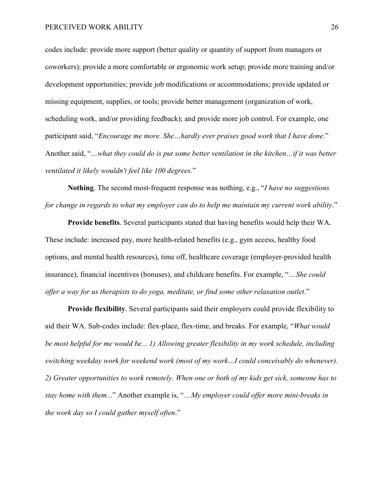codes include: provide more support (better quality or quantity of support from managers or coworkers); provide a more comfortable or ergonomic work setup; provide more training and/or development opportunities; provide job modifications or accommodations; provide updated or missing equipment, supplies, or tools; provide better management (organization of work, scheduling work, and/or providing feedback); and provide more job control. For example, one participant said, "*Encourage me more. She…hardly ever praises good work that I have done*." Another said, "*…what they could do is put some better ventilation in the kitchen…if it was better ventilated it likely wouldn't feel like 100 degrees*."

**Nothing**. The second most-frequent response was nothing, e.g., "*I have no suggestions for change in regards to what my employer can do to help me maintain my current work ability*."

**Provide benefits**. Several participants stated that having benefits would help their WA. These include: increased pay, more health-related benefits (e.g., gym access, healthy food options, and mental health resources), time off, healthcare coverage (employer-provided health insurance), financial incentives (bonuses), and childcare benefits. For example, "…*She could offer a way for us therapists to do yoga, meditate, or find some other relaxation outlet*."

**Provide flexibility**. Several participants said their employers could provide flexibility to aid their WA. Sub-codes include: flex-place, flex-time, and breaks. For example, "*What would be most helpful for me would be... 1) Allowing greater flexibility in my work schedule, including switching weekday work for weekend work (most of my work…I could conceivably do whenever). 2) Greater opportunities to work remotely. When one or both of my kids get sick, someone has to stay home with them..*." Another example is, "…*My employer could offer more mini-breaks in the work day so I could gather myself often*."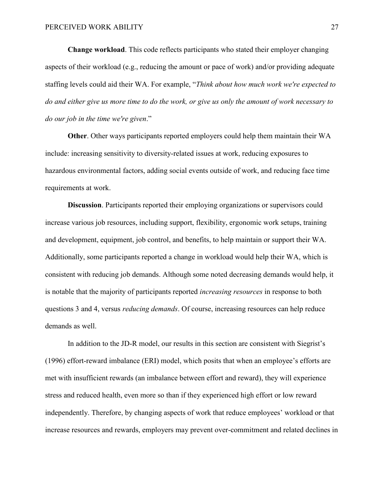**Change workload**. This code reflects participants who stated their employer changing aspects of their workload (e.g., reducing the amount or pace of work) and/or providing adequate staffing levels could aid their WA. For example, "*Think about how much work we're expected to do and either give us more time to do the work, or give us only the amount of work necessary to do our job in the time we're given*."

**Other**. Other ways participants reported employers could help them maintain their WA include: increasing sensitivity to diversity-related issues at work, reducing exposures to hazardous environmental factors, adding social events outside of work, and reducing face time requirements at work.

**Discussion**. Participants reported their employing organizations or supervisors could increase various job resources, including support, flexibility, ergonomic work setups, training and development, equipment, job control, and benefits, to help maintain or support their WA. Additionally, some participants reported a change in workload would help their WA, which is consistent with reducing job demands. Although some noted decreasing demands would help, it is notable that the majority of participants reported *increasing resources* in response to both questions 3 and 4, versus *reducing demands*. Of course, increasing resources can help reduce demands as well.

In addition to the JD-R model, our results in this section are consistent with Siegrist's (1996) effort-reward imbalance (ERI) model, which posits that when an employee's efforts are met with insufficient rewards (an imbalance between effort and reward), they will experience stress and reduced health, even more so than if they experienced high effort or low reward independently. Therefore, by changing aspects of work that reduce employees' workload or that increase resources and rewards, employers may prevent over-commitment and related declines in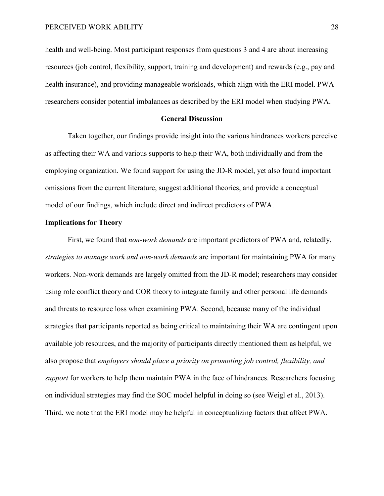health and well-being. Most participant responses from questions 3 and 4 are about increasing resources (job control, flexibility, support, training and development) and rewards (e.g., pay and health insurance), and providing manageable workloads, which align with the ERI model. PWA researchers consider potential imbalances as described by the ERI model when studying PWA.

## **General Discussion**

Taken together, our findings provide insight into the various hindrances workers perceive as affecting their WA and various supports to help their WA, both individually and from the employing organization. We found support for using the JD-R model, yet also found important omissions from the current literature, suggest additional theories, and provide a conceptual model of our findings, which include direct and indirect predictors of PWA.

## **Implications for Theory**

First, we found that *non-work demands* are important predictors of PWA and, relatedly, *strategies to manage work and non-work demands* are important for maintaining PWA for many workers. Non-work demands are largely omitted from the JD-R model; researchers may consider using role conflict theory and COR theory to integrate family and other personal life demands and threats to resource loss when examining PWA. Second, because many of the individual strategies that participants reported as being critical to maintaining their WA are contingent upon available job resources, and the majority of participants directly mentioned them as helpful, we also propose that *employers should place a priority on promoting job control, flexibility, and support* for workers to help them maintain PWA in the face of hindrances. Researchers focusing on individual strategies may find the SOC model helpful in doing so (see Weigl et al., 2013). Third, we note that the ERI model may be helpful in conceptualizing factors that affect PWA.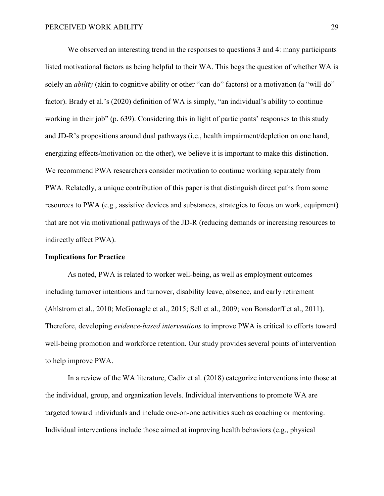We observed an interesting trend in the responses to questions 3 and 4: many participants listed motivational factors as being helpful to their WA. This begs the question of whether WA is solely an *ability* (akin to cognitive ability or other "can-do" factors) or a motivation (a "will-do" factor). Brady et al.'s (2020) definition of WA is simply, "an individual's ability to continue working in their job" (p. 639). Considering this in light of participants' responses to this study and JD-R's propositions around dual pathways (i.e., health impairment/depletion on one hand, energizing effects/motivation on the other), we believe it is important to make this distinction. We recommend PWA researchers consider motivation to continue working separately from PWA. Relatedly, a unique contribution of this paper is that distinguish direct paths from some resources to PWA (e.g., assistive devices and substances, strategies to focus on work, equipment) that are not via motivational pathways of the JD-R (reducing demands or increasing resources to indirectly affect PWA).

## **Implications for Practice**

As noted, PWA is related to worker well-being, as well as employment outcomes including turnover intentions and turnover, disability leave, absence, and early retirement (Ahlstrom et al., 2010; McGonagle et al., 2015; Sell et al., 2009; von Bonsdorff et al., 2011). Therefore, developing *evidence-based interventions* to improve PWA is critical to efforts toward well-being promotion and workforce retention. Our study provides several points of intervention to help improve PWA.

In a review of the WA literature, Cadiz et al. (2018) categorize interventions into those at the individual, group, and organization levels. Individual interventions to promote WA are targeted toward individuals and include one-on-one activities such as coaching or mentoring. Individual interventions include those aimed at improving health behaviors (e.g., physical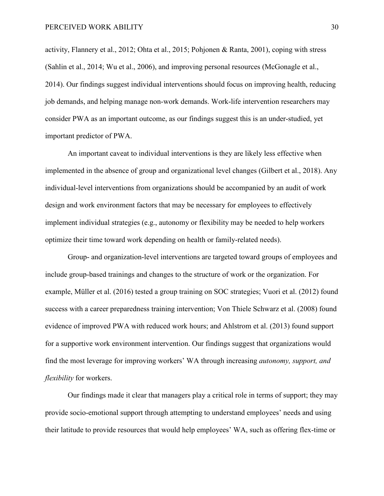activity, Flannery et al., 2012; Ohta et al., 2015; Pohjonen & Ranta, 2001), coping with stress (Sahlin et al., 2014; Wu et al., 2006), and improving personal resources (McGonagle et al., 2014). Our findings suggest individual interventions should focus on improving health, reducing job demands, and helping manage non-work demands. Work-life intervention researchers may consider PWA as an important outcome, as our findings suggest this is an under-studied, yet important predictor of PWA.

An important caveat to individual interventions is they are likely less effective when implemented in the absence of group and organizational level changes (Gilbert et al., 2018). Any individual-level interventions from organizations should be accompanied by an audit of work design and work environment factors that may be necessary for employees to effectively implement individual strategies (e.g., autonomy or flexibility may be needed to help workers optimize their time toward work depending on health or family-related needs).

Group- and organization-level interventions are targeted toward groups of employees and include group-based trainings and changes to the structure of work or the organization. For example, Müller et al. (2016) tested a group training on SOC strategies; Vuori et al. (2012) found success with a career preparedness training intervention; Von Thiele Schwarz et al. (2008) found evidence of improved PWA with reduced work hours; and Ahlstrom et al. (2013) found support for a supportive work environment intervention. Our findings suggest that organizations would find the most leverage for improving workers' WA through increasing *autonomy, support, and flexibility* for workers.

Our findings made it clear that managers play a critical role in terms of support; they may provide socio-emotional support through attempting to understand employees' needs and using their latitude to provide resources that would help employees' WA, such as offering flex-time or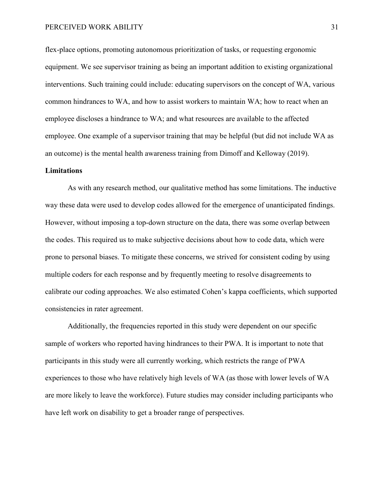flex-place options, promoting autonomous prioritization of tasks, or requesting ergonomic equipment. We see supervisor training as being an important addition to existing organizational interventions. Such training could include: educating supervisors on the concept of WA, various common hindrances to WA, and how to assist workers to maintain WA; how to react when an employee discloses a hindrance to WA; and what resources are available to the affected employee. One example of a supervisor training that may be helpful (but did not include WA as an outcome) is the mental health awareness training from Dimoff and Kelloway (2019).

### **Limitations**

As with any research method, our qualitative method has some limitations. The inductive way these data were used to develop codes allowed for the emergence of unanticipated findings. However, without imposing a top-down structure on the data, there was some overlap between the codes. This required us to make subjective decisions about how to code data, which were prone to personal biases. To mitigate these concerns, we strived for consistent coding by using multiple coders for each response and by frequently meeting to resolve disagreements to calibrate our coding approaches. We also estimated Cohen's kappa coefficients, which supported consistencies in rater agreement.

Additionally, the frequencies reported in this study were dependent on our specific sample of workers who reported having hindrances to their PWA. It is important to note that participants in this study were all currently working, which restricts the range of PWA experiences to those who have relatively high levels of WA (as those with lower levels of WA are more likely to leave the workforce). Future studies may consider including participants who have left work on disability to get a broader range of perspectives.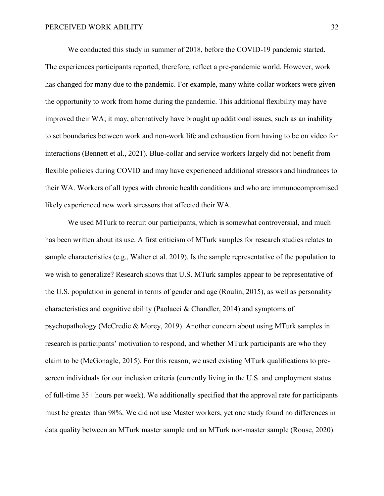We conducted this study in summer of 2018, before the COVID-19 pandemic started. The experiences participants reported, therefore, reflect a pre-pandemic world. However, work has changed for many due to the pandemic. For example, many white-collar workers were given the opportunity to work from home during the pandemic. This additional flexibility may have improved their WA; it may, alternatively have brought up additional issues, such as an inability to set boundaries between work and non-work life and exhaustion from having to be on video for interactions (Bennett et al., 2021). Blue-collar and service workers largely did not benefit from flexible policies during COVID and may have experienced additional stressors and hindrances to their WA. Workers of all types with chronic health conditions and who are immunocompromised likely experienced new work stressors that affected their WA.

We used MTurk to recruit our participants, which is somewhat controversial, and much has been written about its use. A first criticism of MTurk samples for research studies relates to sample characteristics (e.g., Walter et al. 2019). Is the sample representative of the population to we wish to generalize? Research shows that U.S. MTurk samples appear to be representative of the U.S. population in general in terms of gender and age (Roulin, 2015), as well as personality characteristics and cognitive ability (Paolacci & Chandler, 2014) and symptoms of psychopathology (McCredie & Morey, 2019). Another concern about using MTurk samples in research is participants' motivation to respond, and whether MTurk participants are who they claim to be (McGonagle, 2015). For this reason, we used existing MTurk qualifications to prescreen individuals for our inclusion criteria (currently living in the U.S. and employment status of full-time 35+ hours per week). We additionally specified that the approval rate for participants must be greater than 98%. We did not use Master workers, yet one study found no differences in data quality between an MTurk master sample and an MTurk non-master sample (Rouse, 2020).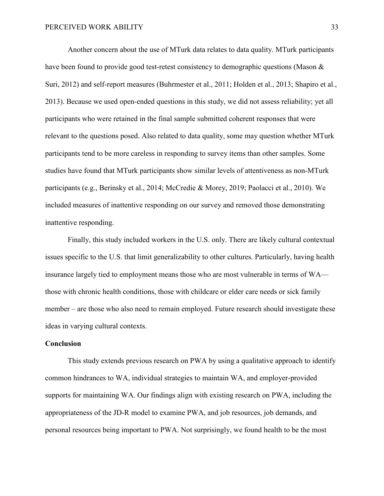Another concern about the use of MTurk data relates to data quality. MTurk participants have been found to provide good test-retest consistency to demographic questions (Mason & Suri, 2012) and self-report measures (Buhrmester et al., 2011; Holden et al., 2013; Shapiro et al., 2013). Because we used open-ended questions in this study, we did not assess reliability; yet all participants who were retained in the final sample submitted coherent responses that were relevant to the questions posed. Also related to data quality, some may question whether MTurk participants tend to be more careless in responding to survey items than other samples. Some studies have found that MTurk participants show similar levels of attentiveness as non-MTurk participants (e.g., Berinsky et al., 2014; McCredie & Morey, 2019; Paolacci et al., 2010). We included measures of inattentive responding on our survey and removed those demonstrating inattentive responding.

Finally, this study included workers in the U.S. only. There are likely cultural contextual issues specific to the U.S. that limit generalizability to other cultures. Particularly, having health insurance largely tied to employment means those who are most vulnerable in terms of WA those with chronic health conditions, those with childcare or elder care needs or sick family member – are those who also need to remain employed. Future research should investigate these ideas in varying cultural contexts.

## **Conclusion**

This study extends previous research on PWA by using a qualitative approach to identify common hindrances to WA, individual strategies to maintain WA, and employer-provided supports for maintaining WA. Our findings align with existing research on PWA, including the appropriateness of the JD-R model to examine PWA, and job resources, job demands, and personal resources being important to PWA. Not surprisingly, we found health to be the most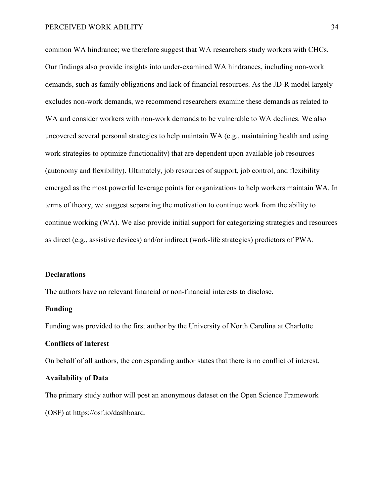common WA hindrance; we therefore suggest that WA researchers study workers with CHCs. Our findings also provide insights into under-examined WA hindrances, including non-work demands, such as family obligations and lack of financial resources. As the JD-R model largely excludes non-work demands, we recommend researchers examine these demands as related to WA and consider workers with non-work demands to be vulnerable to WA declines. We also uncovered several personal strategies to help maintain WA (e.g., maintaining health and using work strategies to optimize functionality) that are dependent upon available job resources (autonomy and flexibility). Ultimately, job resources of support, job control, and flexibility emerged as the most powerful leverage points for organizations to help workers maintain WA. In terms of theory, we suggest separating the motivation to continue work from the ability to continue working (WA). We also provide initial support for categorizing strategies and resources as direct (e.g., assistive devices) and/or indirect (work-life strategies) predictors of PWA.

## **Declarations**

The authors have no relevant financial or non-financial interests to disclose.

## **Funding**

Funding was provided to the first author by the University of North Carolina at Charlotte

# **Conflicts of Interest**

On behalf of all authors, the corresponding author states that there is no conflict of interest.

#### **Availability of Data**

The primary study author will post an anonymous dataset on the Open Science Framework (OSF) at https://osf.io/dashboard.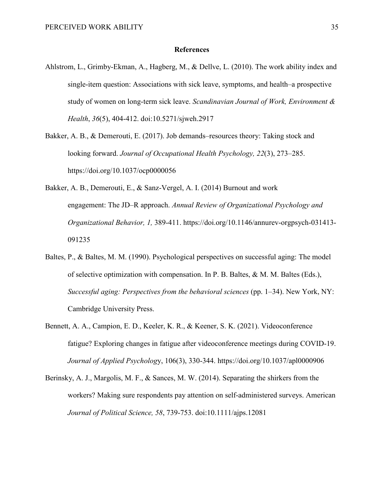#### **References**

- Ahlstrom, L., Grimby-Ekman, A., Hagberg, M., & Dellve, L. (2010). The work ability index and single-item question: Associations with sick leave, symptoms, and health–a prospective study of women on long-term sick leave. *Scandinavian Journal of Work, Environment & Health*, *36*(5), 404-412. doi:10.5271/sjweh.2917
- Bakker, A. B., & Demerouti, E. (2017). Job demands–resources theory: Taking stock and looking forward. *Journal of Occupational Health Psychology, 22*(3), 273–285. https://doi.org/10.1037/ocp0000056
- Bakker, A. B., Demerouti, E., & Sanz-Vergel, A. I. (2014) Burnout and work engagement: The JD–R approach. *Annual Review of Organizational Psychology and Organizational Behavior, 1,* 389-411. https://doi.org/10.1146/annurev-orgpsych-031413- 091235
- Baltes, P., & Baltes, M. M. (1990). Psychological perspectives on successful aging: The model of selective optimization with compensation. In P. B. Baltes, & M. M. Baltes (Eds.), *Successful aging: Perspectives from the behavioral sciences* (pp. 1–34). New York, NY: Cambridge University Press.
- Bennett, A. A., Campion, E. D., Keeler, K. R., & Keener, S. K. (2021). Videoconference fatigue? Exploring changes in fatigue after videoconference meetings during COVID-19. *Journal of Applied Psycholog*y, 106(3), 330-344. https://doi.org/10.1037/apl0000906
- Berinsky, A. J., Margolis, M. F., & Sances, M. W. (2014). Separating the shirkers from the workers? Making sure respondents pay attention on self-administered surveys. American *Journal of Political Science, 58*, 739-753. doi:10.1111/ajps.12081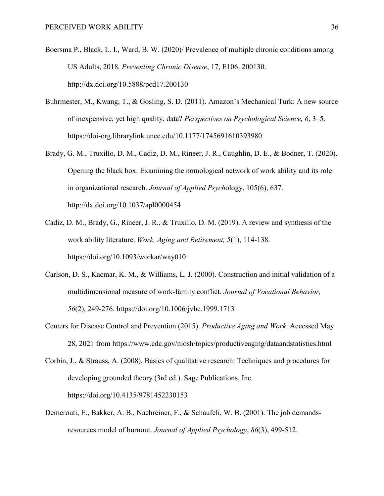- Boersma P., Black, L. I., Ward, B. W. (2020)/ Prevalence of multiple chronic conditions among US Adults, 2018*. Preventing Chronic Disease*, 17, E106. 200130. http://dx.doi.org/10.5888/pcd17.200130
- Buhrmester, M., Kwang, T., & Gosling, S. D. (2011). Amazon's Mechanical Turk: A new source of inexpensive, yet high quality, data? *Perspectives on Psychological Science, 6*, 3–5. https://doi-org.librarylink.uncc.edu/10.1177/1745691610393980
- Brady, G. M., Truxillo, D. M., Cadiz, D. M., Rineer, J. R., Caughlin, D. E., & Bodner, T. (2020). Opening the black box: Examining the nomological network of work ability and its role in organizational research. *Journal of Applied Psych*ology, 105(6), 637. http://dx.doi.org/10.1037/apl0000454
- Cadiz, D. M., Brady, G., Rineer, J. R., & Truxillo, D. M. (2019). A review and synthesis of the work ability literature. *Work, Aging and Retirement, 5*(1), 114-138. <https://doi.org/10.1093/workar/way010>
- Carlson, D. S., Kacmar, K. M., & Williams, L. J. (2000). Construction and initial validation of a multidimensional measure of work-family conflict. *Journal of Vocational Behavior, 56*(2), 249-276. https://doi.org/10.1006/jvbe.1999.1713
- Centers for Disease Control and Prevention (2015). *Productive Aging and Work*. Accessed May 28, 2021 from https://www.cdc.gov/niosh/topics/productiveaging/dataandstatistics.html

Corbin, J., & Strauss, A. (2008). Basics of qualitative research: Techniques and procedures for developing grounded theory (3rd ed.). Sage Publications, Inc. <https://doi.org/10.4135/9781452230153>

Demerouti, E., Bakker, A. B., Nachreiner, F., & Schaufeli, W. B. (2001). The job demandsresources model of burnout. *Journal of Applied Psychology*, *86*(3), 499-512.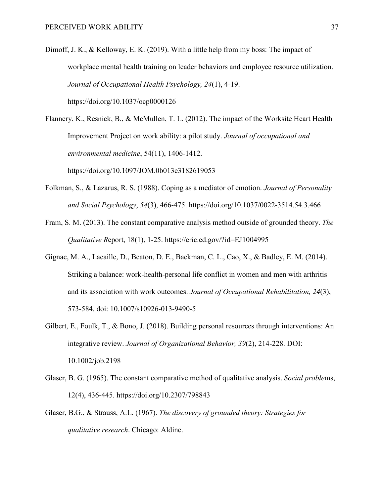Dimoff, J. K., & Kelloway, E. K. (2019). With a little help from my boss: The impact of workplace mental health training on leader behaviors and employee resource utilization. *Journal of Occupational Health Psychology, 24*(1), 4-19. https://doi.org/10.1037/ocp0000126

Flannery, K., Resnick, B., & McMullen, T. L. (2012). The impact of the Worksite Heart Health Improvement Project on work ability: a pilot study. *Journal of occupational and environmental medicine*, 54(11), 1406-1412. https://doi.org/10.1097/JOM.0b013e3182619053

- Folkman, S., & Lazarus, R. S. (1988). Coping as a mediator of emotion. *Journal of Personality and Social Psychology*, *54*(3), 466-475. https://doi.org/10.1037/0022-3514.54.3.466
- Fram, S. M. (2013). The constant comparative analysis method outside of grounded theory. *The Qualitative R*eport, 18(1), 1-25. https://eric.ed.gov/?id=EJ1004995
- Gignac, M. A., Lacaille, D., Beaton, D. E., Backman, C. L., Cao, X., & Badley, E. M. (2014). Striking a balance: work-health-personal life conflict in women and men with arthritis and its association with work outcomes. *Journal of Occupational Rehabilitation, 24*(3), 573-584. doi: 10.1007/s10926-013-9490-5
- Gilbert, E., Foulk, T., & Bono, J. (2018). Building personal resources through interventions: An integrative review. *Journal of Organizational Behavior, 39*(2), 214-228. DOI: 10.1002/job.2198
- Glaser, B. G. (1965). The constant comparative method of qualitative analysis. *Social proble*ms, 12(4), 436-445. https://doi.org/10.2307/798843
- Glaser, B.G., & Strauss, A.L. (1967). *The discovery of grounded theory: Strategies for qualitative research*. Chicago: Aldine.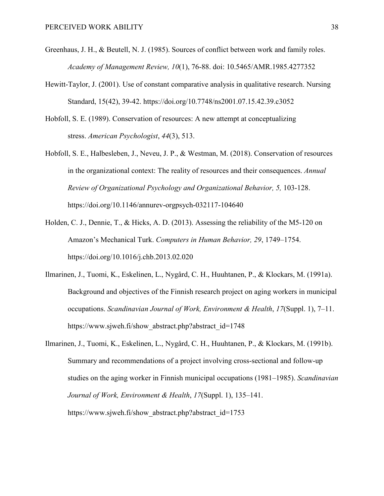- Greenhaus, J. H., & Beutell, N. J. (1985). Sources of conflict between work and family roles. *Academy of Management Review, 10*(1), 76-88. doi: 10.5465/AMR.1985.4277352
- Hewitt-Taylor, J. (2001). Use of constant comparative analysis in qualitative research. Nursing Standard, 15(42), 39-42. https://doi.org/10.7748/ns2001.07.15.42.39.c3052
- Hobfoll, S. E. (1989). Conservation of resources: A new attempt at conceptualizing stress. *American Psychologist*, *44*(3), 513.
- Hobfoll, S. E., Halbesleben, J., Neveu, J. P., & Westman, M. (2018). Conservation of resources in the organizational context: The reality of resources and their consequences. *Annual Review of Organizational Psychology and Organizational Behavior, 5,* 103-128. https://doi.org/10.1146/annurev-orgpsych-032117-104640
- Holden, C. J., Dennie, T., & Hicks, A. D. (2013). Assessing the reliability of the M5-120 on Amazon's Mechanical Turk. *Computers in Human Behavior, 29*, 1749–1754. https://doi.org/10.1016/j.chb.2013.02.020
- Ilmarinen, J., Tuomi, K., Eskelinen, L., Nygård, C. H., Huuhtanen, P., & Klockars, M. (1991a). Background and objectives of the Finnish research project on aging workers in municipal occupations. *Scandinavian Journal of Work, Environment & Health*, *17*(Suppl. 1), 7–11. https://www.sjweh.fi/show\_abstract.php?abstract\_id=1748
- Ilmarinen, J., Tuomi, K., Eskelinen, L., Nygård, C. H., Huuhtanen, P., & Klockars, M. (1991b). Summary and recommendations of a project involving cross-sectional and follow-up studies on the aging worker in Finnish municipal occupations (1981–1985). *Scandinavian Journal of Work, Environment & Health*, *17*(Suppl. 1), 135–141. https://www.sjweh.fi/show\_abstract.php?abstract\_id=1753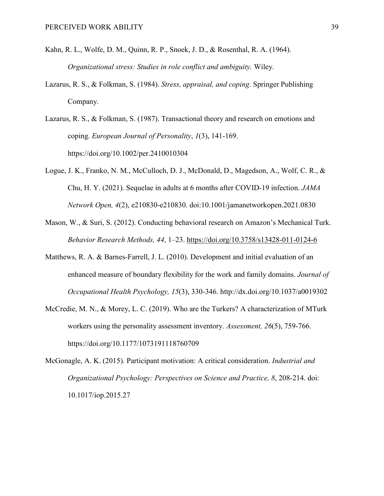- Kahn, R. L., Wolfe, D. M., Quinn, R. P., Snoek, J. D., & Rosenthal, R. A. (1964). *Organizational stress: Studies in role conflict and ambiguity.* Wiley.
- Lazarus, R. S., & Folkman, S. (1984). *Stress, appraisal, and coping*. Springer Publishing Company.

Lazarus, R. S., & Folkman, S. (1987). Transactional theory and research on emotions and coping. *European Journal of Personality*, *1*(3), 141-169. https://doi.org/10.1002/per.2410010304

- Logue, J. K., Franko, N. M., McCulloch, D. J., McDonald, D., Magedson, A., Wolf, C. R., & Chu, H. Y. (2021). Sequelae in adults at 6 months after COVID-19 infection. *JAMA Network Open, 4*(2), e210830-e210830. doi:10.1001/jamanetworkopen.2021.0830
- Mason, W., & Suri, S. (2012). Conducting behavioral research on Amazon's Mechanical Turk. *Behavior Research Methods, 44*, 1–23.<https://doi.org/10.3758/s13428-011-0124-6>
- Matthews, R. A. & Barnes-Farrell, J. L. (2010). Development and initial evaluation of an enhanced measure of boundary flexibility for the work and family domains. *Journal of Occupational Health Psychology, 15*(3), 330-346. http://dx.doi.org/10.1037/a0019302
- McCredie, M. N., & Morey, L. C. (2019). Who are the Turkers? A characterization of MTurk workers using the personality assessment inventory. *Assessment, 26*(5), 759-766. https://doi.org/10.1177/1073191118760709

McGonagle, A. K. (2015). Participant motivation: A critical consideration. *Industrial and Organizational Psychology: Perspectives on Science and Practice, 8*, 208-214. doi: 10.1017/iop.2015.27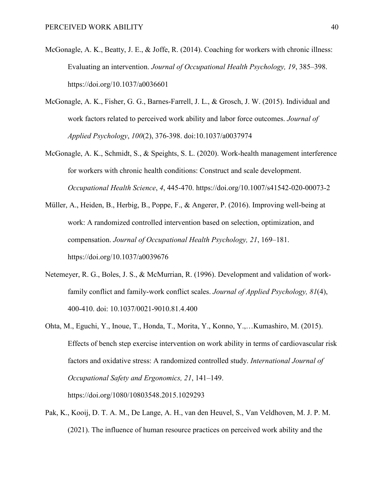- McGonagle, A. K., Beatty, J. E., & Joffe, R. (2014). Coaching for workers with chronic illness: Evaluating an intervention. *Journal of Occupational Health Psychology, 19*, 385–398. https://doi.org/10.1037/a0036601
- McGonagle, A. K., Fisher, G. G., Barnes-Farrell, J. L., & Grosch, J. W. (2015). Individual and work factors related to perceived work ability and labor force outcomes. *Journal of Applied Psychology*, *100*(2), 376-398. doi:10.1037/a0037974
- McGonagle, A. K., Schmidt, S., & Speights, S. L. (2020). Work-health management interference for workers with chronic health conditions: Construct and scale development. *Occupational Health Science*, *4*, 445-470. https://doi.org/10.1007/s41542-020-00073-2
- Müller, A., Heiden, B., Herbig, B., Poppe, F., & Angerer, P. (2016). Improving well-being at work: A randomized controlled intervention based on selection, optimization, and compensation. *Journal of Occupational Health Psychology, 21*, 169–181. https://doi.org/10.1037/a0039676
- Netemeyer, R. G., Boles, J. S., & McMurrian, R. (1996). Development and validation of workfamily conflict and family-work conflict scales. *Journal of Applied Psychology, 81*(4), 400-410. doi: 10.1037/0021-9010.81.4.400
- Ohta, M., Eguchi, Y., Inoue, T., Honda, T., Morita, Y., Konno, Y.,…Kumashiro, M. (2015). Effects of bench step exercise intervention on work ability in terms of cardiovascular risk factors and oxidative stress: A randomized controlled study. *International Journal of Occupational Safety and Ergonomics, 21*, 141–149. https://doi.org/1080/10803548.2015.1029293

Pak, K., Kooij, D. T. A. M., De Lange, A. H., van den Heuvel, S., Van Veldhoven, M. J. P. M. (2021). The influence of human resource practices on perceived work ability and the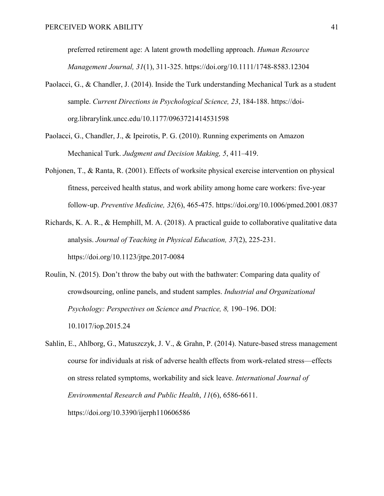preferred retirement age: A latent growth modelling approach. *Human Resource Management Journal, 31*(1), 311-325. https://doi.org/10.1111/1748-8583.12304

- Paolacci, G., & Chandler, J. (2014). Inside the Turk understanding Mechanical Turk as a student sample. *Current Directions in Psychological Science, 23*, 184-188. https://doiorg.librarylink.uncc.edu/10.1177/0963721414531598
- Paolacci, G., Chandler, J., & Ipeirotis, P. G. (2010). Running experiments on Amazon Mechanical Turk. *Judgment and Decision Making, 5*, 411–419.
- Pohjonen, T., & Ranta, R. (2001). Effects of worksite physical exercise intervention on physical fitness, perceived health status, and work ability among home care workers: five-year follow-up. *Preventive Medicine, 32*(6), 465-475. https://doi.org/10.1006/pmed.2001.0837
- Richards, K. A. R., & Hemphill, M. A. (2018). A practical guide to collaborative qualitative data analysis. *Journal of Teaching in Physical Education, 37*(2), 225-231. https://doi.org/10.1123/jtpe.2017-0084
- Roulin, N. (2015). Don't throw the baby out with the bathwater: Comparing data quality of crowdsourcing, online panels, and student samples. *Industrial and Organizational Psychology: Perspectives on Science and Practice, 8,* 190–196. DOI: 10.1017/iop.2015.24
- Sahlin, E., Ahlborg, G., Matuszczyk, J. V., & Grahn, P. (2014). Nature-based stress management course for individuals at risk of adverse health effects from work-related stress—effects on stress related symptoms, workability and sick leave. *International Journal of Environmental Research and Public Health*, *11*(6), 6586-6611. https://doi.org/10.3390/ijerph110606586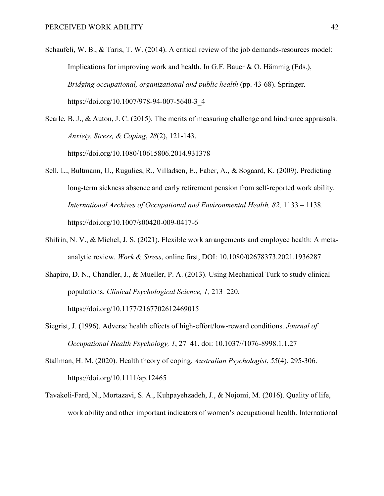Schaufeli, W. B., & Taris, T. W. (2014). A critical review of the job demands-resources model: Implications for improving work and health. In G.F. Bauer & O. Hämmig (Eds.), *Bridging occupational, organizational and public health* (pp. 43-68). Springer. https://doi.org/10.1007/978-94-007-5640-3\_4

Searle, B. J., & Auton, J. C. (2015). The merits of measuring challenge and hindrance appraisals. *Anxiety, Stress, & Coping*, *28*(2), 121-143. https://doi.org/10.1080/10615806.2014.931378

- Sell, L., Bultmann, U., Rugulies, R., Villadsen, E., Faber, A., & Sogaard, K. (2009). Predicting long-term sickness absence and early retirement pension from self-reported work ability. *International Archives of Occupational and Environmental Health, 82,* 1133 – 1138. https://doi.org/10.1007/s00420-009-0417-6
- Shifrin, N. V., & Michel, J. S. (2021). Flexible work arrangements and employee health: A metaanalytic review. *Work & Stress*, online first, DOI: 10.1080/02678373.2021.1936287
- Shapiro, D. N., Chandler, J., & Mueller, P. A. (2013). Using Mechanical Turk to study clinical populations. *Clinical Psychological Science, 1,* 213–220. https://doi.org/10.1177/2167702612469015
- Siegrist, J. (1996). Adverse health effects of high-effort/low-reward conditions. *Journal of Occupational Health Psychology, 1*, 27–41. doi: 10.1037//1076-8998.1.1.27
- Stallman, H. M. (2020). Health theory of coping. *Australian Psychologist*, *55*(4), 295-306. https://doi.org/10.1111/ap.12465
- Tavakoli-Fard, N., Mortazavi, S. A., Kuhpayehzadeh, J., & Nojomi, M. (2016). Quality of life, work ability and other important indicators of women's occupational health. International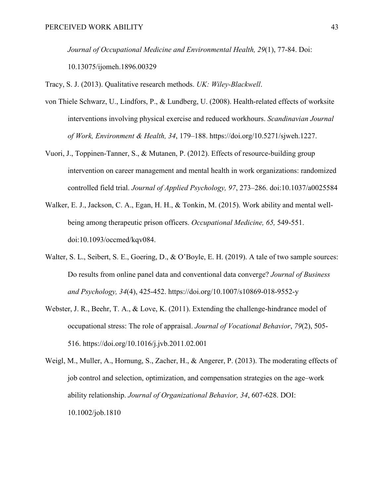*Journal of Occupational Medicine and Environmental Health, 29*(1), 77-84. Doi: 10.13075/ijomeh.1896.00329

Tracy, S. J. (2013). Qualitative research methods. *UK: Wiley-Blackwell*.

- von Thiele Schwarz, U., Lindfors, P., & Lundberg, U. (2008). Health-related effects of worksite interventions involving physical exercise and reduced workhours. *Scandinavian Journal of Work, Environment & Health, 34*, 179–188. https://doi.org/10.5271/sjweh.1227.
- Vuori, J., Toppinen-Tanner, S., & Mutanen, P. (2012). Effects of resource-building group intervention on career management and mental health in work organizations: randomized controlled field trial. *Journal of Applied Psychology, 97*, 273–286. doi:10.1037/a0025584
- Walker, E. J., Jackson, C. A., Egan, H. H., & Tonkin, M. (2015). Work ability and mental wellbeing among therapeutic prison officers. *Occupational Medicine, 65,* 549-551. doi:10.1093/occmed/kqv084.
- Walter, S. L., Seibert, S. E., Goering, D., & O'Boyle, E. H. (2019). A tale of two sample sources: Do results from online panel data and conventional data converge? *Journal of Business and Psychology, 34*(4), 425-452. https://doi.org/10.1007/s10869-018-9552-y
- Webster, J. R., Beehr, T. A., & Love, K. (2011). Extending the challenge-hindrance model of occupational stress: The role of appraisal. *Journal of Vocational Behavior*, *79*(2), 505- 516. https://doi.org/10.1016/j.jvb.2011.02.001
- Weigl, M., Muller, A., Hornung, S., Zacher, H., & Angerer, P. (2013). The moderating effects of job control and selection, optimization, and compensation strategies on the age–work ability relationship. *Journal of Organizational Behavior, 34*, 607-628. DOI: 10.1002/job.1810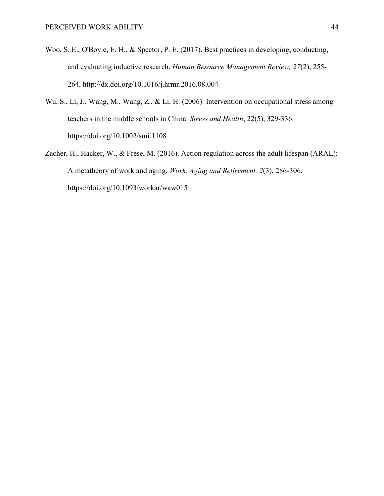- Woo, S. E., O'Boyle, E. H., & Spector, P. E. (2017). Best practices in developing, conducting, and evaluating inductive research. *Human Resource Management Review, 27*(2), 255- 264, http://dx.doi.org/10.1016/j.hrmr.2016.08.004
- Wu, S., Li, J., Wang, M., Wang, Z., & Li, H. (2006). Intervention on occupational stress among teachers in the middle schools in China. *Stress and Health*, 22(5), 329-336. https://doi.org/10.1002/smi.1108
- Zacher, H., Hacker, W., & Frese, M. (2016). Action regulation across the adult lifespan (ARAL): A metatheory of work and aging. *Work, Aging and Retirement, 2*(3), 286-306. https://doi.org/10.1093/workar/waw015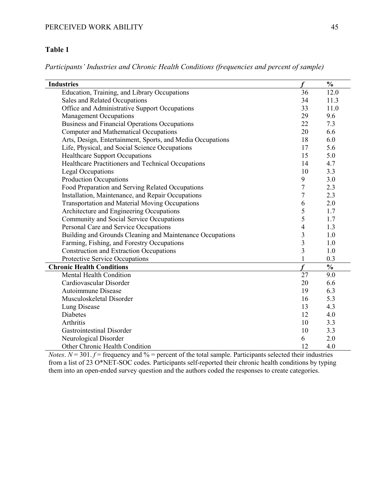# **Table 1**

*Participants' Industries and Chronic Health Conditions (frequencies and percent of sample)*

| <b>Industries</b>                                          |                         | $\frac{0}{0}$ |
|------------------------------------------------------------|-------------------------|---------------|
| Education, Training, and Library Occupations               | 36                      | 12.0          |
| Sales and Related Occupations                              | 34                      | 11.3          |
| Office and Administrative Support Occupations              | 33                      | 11.0          |
| <b>Management Occupations</b>                              | 29                      | 9.6           |
| Business and Financial Operations Occupations              | 22                      | 7.3           |
| <b>Computer and Mathematical Occupations</b>               | 20                      | 6.6           |
| Arts, Design, Entertainment, Sports, and Media Occupations | 18                      | 6.0           |
| Life, Physical, and Social Science Occupations             | 17                      | 5.6           |
| <b>Healthcare Support Occupations</b>                      | 15                      | 5.0           |
| Healthcare Practitioners and Technical Occupations         | 14                      | 4.7           |
| <b>Legal Occupations</b>                                   | 10                      | 3.3           |
| <b>Production Occupations</b>                              | 9                       | 3.0           |
| Food Preparation and Serving Related Occupations           | $\overline{7}$          | 2.3           |
| Installation, Maintenance, and Repair Occupations          | 7                       | 2.3           |
| Transportation and Material Moving Occupations             | 6                       | 2.0           |
| Architecture and Engineering Occupations                   | 5                       | 1.7           |
| Community and Social Service Occupations                   | 5                       | 1.7           |
| Personal Care and Service Occupations                      | $\overline{4}$          | 1.3           |
| Building and Grounds Cleaning and Maintenance Occupations  | 3                       | 1.0           |
| Farming, Fishing, and Forestry Occupations                 | $\overline{\mathbf{3}}$ | 1.0           |
| <b>Construction and Extraction Occupations</b>             | 3                       | 1.0           |
| Protective Service Occupations                             | $\mathbf{1}$            | 0.3           |
| <b>Chronic Health Conditions</b>                           |                         | $\frac{0}{0}$ |
| <b>Mental Health Condition</b>                             | 27                      | 9.0           |
| Cardiovascular Disorder                                    | 20                      | 6.6           |
| Autoimmune Disease                                         | 19                      | 6.3           |
| Musculoskeletal Disorder                                   | 16                      | 5.3           |
| Lung Disease                                               | 13                      | 4.3           |
| <b>Diabetes</b>                                            | 12                      | 4.0           |
| Arthritis                                                  | 10                      | 3.3           |
| <b>Gastrointestinal Disorder</b>                           | 10                      | 3.3           |
| Neurological Disorder                                      | 6                       | 2.0           |
| Other Chronic Health Condition                             | 12                      | 4.0           |

*Notes*.  $N = 301$ .  $f =$  frequency and % = percent of the total sample. Participants selected their industries from a list of 23 O\*NET-SOC codes. Participants self-reported their chronic health conditions by typing them into an open-ended survey question and the authors coded the responses to create categories.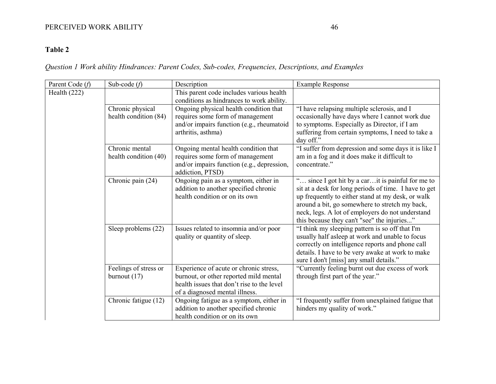# PERCEIVED WORK ABILITY 46

# **Table 2**

# *Question 1 Work ability Hindrances: Parent Codes, Sub-codes, Frequencies, Descriptions, and Examples*

| Parent Code (f) | Sub-code $(f)$                            | Description                                                                                                                                                      | <b>Example Response</b>                                                                                                                                                                                                                                                                                              |
|-----------------|-------------------------------------------|------------------------------------------------------------------------------------------------------------------------------------------------------------------|----------------------------------------------------------------------------------------------------------------------------------------------------------------------------------------------------------------------------------------------------------------------------------------------------------------------|
| Health $(222)$  |                                           | This parent code includes various health<br>conditions as hindrances to work ability.                                                                            |                                                                                                                                                                                                                                                                                                                      |
|                 | Chronic physical<br>health condition (84) | Ongoing physical health condition that<br>requires some form of management<br>and/or impairs function (e.g., rheumatoid<br>arthritis, asthma)                    | "I have relapsing multiple sclerosis, and I<br>occasionally have days where I cannot work due<br>to symptoms. Especially as Director, if I am<br>suffering from certain symptoms, I need to take a<br>day off."                                                                                                      |
|                 | Chronic mental<br>health condition (40)   | Ongoing mental health condition that<br>requires some form of management<br>and/or impairs function (e.g., depression,<br>addiction, PTSD)                       | "I suffer from depression and some days it is like I<br>am in a fog and it does make it difficult to<br>concentrate."                                                                                                                                                                                                |
|                 | Chronic pain (24)                         | Ongoing pain as a symptom, either in<br>addition to another specified chronic<br>health condition or on its own                                                  | " since I got hit by a carit is painful for me to<br>sit at a desk for long periods of time. I have to get<br>up frequently to either stand at my desk, or walk<br>around a bit, go somewhere to stretch my back,<br>neck, legs. A lot of employers do not understand<br>this because they can't "see" the injuries" |
|                 | Sleep problems (22)                       | Issues related to insomnia and/or poor<br>quality or quantity of sleep.                                                                                          | "I think my sleeping pattern is so off that I'm<br>usually half asleep at work and unable to focus<br>correctly on intelligence reports and phone call<br>details. I have to be very awake at work to make<br>sure I don't [miss] any small details."                                                                |
|                 | Feelings of stress or<br>burnout $(17)$   | Experience of acute or chronic stress,<br>burnout, or other reported mild mental<br>health issues that don't rise to the level<br>of a diagnosed mental illness. | "Currently feeling burnt out due excess of work<br>through first part of the year."                                                                                                                                                                                                                                  |
|                 | Chronic fatigue (12)                      | Ongoing fatigue as a symptom, either in<br>addition to another specified chronic<br>health condition or on its own                                               | "I frequently suffer from unexplained fatigue that<br>hinders my quality of work."                                                                                                                                                                                                                                   |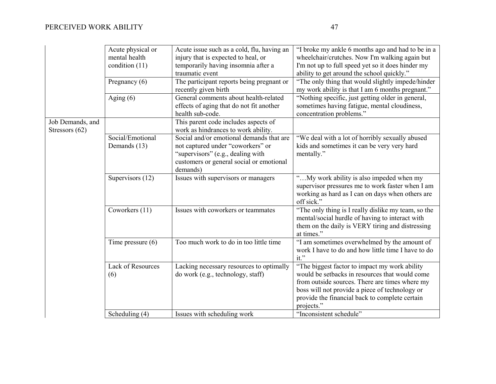|                  | Acute physical or   | Acute issue such as a cold, flu, having an | "I broke my ankle 6 months ago and had to be in a   |
|------------------|---------------------|--------------------------------------------|-----------------------------------------------------|
|                  | mental health       | injury that is expected to heal, or        | wheelchair/crutches. Now I'm walking again but      |
|                  | condition $(11)$    | temporarily having insomnia after a        | I'm not up to full speed yet so it does hinder my   |
|                  |                     | traumatic event                            | ability to get around the school quickly."          |
|                  | Pregnancy $(6)$     | The participant reports being pregnant or  | "The only thing that would slightly impede/hinder   |
|                  |                     | recently given birth                       | my work ability is that I am 6 months pregnant."    |
|                  | Aging $(6)$         | General comments about health-related      | "Nothing specific, just getting older in general,   |
|                  |                     | effects of aging that do not fit another   | sometimes having fatigue, mental cloudiness,        |
|                  |                     | health sub-code.                           | concentration problems."                            |
| Job Demands, and |                     | This parent code includes aspects of       |                                                     |
| Stressors (62)   |                     | work as hindrances to work ability.        |                                                     |
|                  | Social/Emotional    | Social and/or emotional demands that are   | "We deal with a lot of horribly sexually abused     |
|                  | Demands (13)        | not captured under "coworkers" or          | kids and sometimes it can be very very hard         |
|                  |                     | "supervisors" (e.g., dealing with          | mentally."                                          |
|                  |                     | customers or general social or emotional   |                                                     |
|                  |                     | demands)                                   |                                                     |
|                  | Supervisors (12)    | Issues with supervisors or managers        | "My work ability is also impeded when my            |
|                  |                     |                                            | supervisor pressures me to work faster when I am    |
|                  |                     |                                            | working as hard as I can on days when others are    |
|                  |                     |                                            | off sick."                                          |
|                  | Coworkers (11)      | Issues with coworkers or teammates         | "The only thing is I really dislike my team, so the |
|                  |                     |                                            | mental/social hurdle of having to interact with     |
|                  |                     |                                            | them on the daily is VERY tiring and distressing    |
|                  |                     |                                            | at times."                                          |
|                  | Time pressure $(6)$ | Too much work to do in too little time     | "I am sometimes overwhelmed by the amount of        |
|                  |                     |                                            | work I have to do and how little time I have to do  |
|                  |                     |                                            | $it.$ "                                             |
|                  | Lack of Resources   | Lacking necessary resources to optimally   | "The biggest factor to impact my work ability       |
|                  | (6)                 | do work (e.g., technology, staff)          | would be setbacks in resources that would come      |
|                  |                     |                                            | from outside sources. There are times where my      |
|                  |                     |                                            | boss will not provide a piece of technology or      |
|                  |                     |                                            | provide the financial back to complete certain      |
|                  |                     |                                            | projects."                                          |
|                  | Scheduling (4)      | Issues with scheduling work                | "Inconsistent schedule"                             |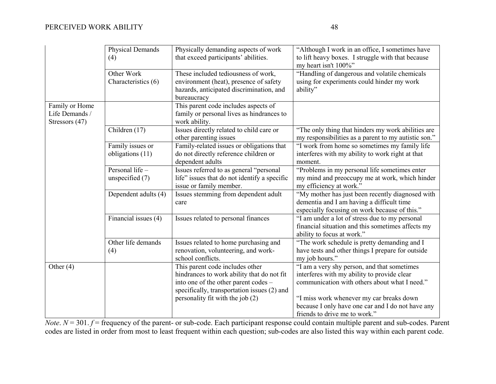|                                                    | Physical Demands<br>(4)              | Physically demanding aspects of work<br>that exceed participants' abilities.                                                                                                                             | "Although I work in an office, I sometimes have<br>to lift heavy boxes. I struggle with that because<br>my heart isn't 100%"                                                                                                                                                  |
|----------------------------------------------------|--------------------------------------|----------------------------------------------------------------------------------------------------------------------------------------------------------------------------------------------------------|-------------------------------------------------------------------------------------------------------------------------------------------------------------------------------------------------------------------------------------------------------------------------------|
|                                                    | Other Work<br>Characteristics (6)    | These included tediousness of work,<br>environment (heat), presence of safety<br>hazards, anticipated discrimination, and<br>bureaucracy                                                                 | "Handling of dangerous and volatile chemicals<br>using for experiments could hinder my work<br>ability"                                                                                                                                                                       |
| Family or Home<br>Life Demands /<br>Stressors (47) |                                      | This parent code includes aspects of<br>family or personal lives as hindrances to<br>work ability.                                                                                                       |                                                                                                                                                                                                                                                                               |
|                                                    | Children (17)                        | Issues directly related to child care or<br>other parenting issues                                                                                                                                       | "The only thing that hinders my work abilities are<br>my responsibilities as a parent to my autistic son."                                                                                                                                                                    |
|                                                    | Family issues or<br>obligations (11) | Family-related issues or obligations that<br>do not directly reference children or<br>dependent adults                                                                                                   | "I work from home so sometimes my family life<br>interferes with my ability to work right at that<br>moment.                                                                                                                                                                  |
|                                                    | Personal life -<br>unspecified $(7)$ | Issues referred to as general "personal<br>life" issues that do not identify a specific<br>issue or family member.                                                                                       | "Problems in my personal life sometimes enter<br>my mind and preoccupy me at work, which hinder<br>my efficiency at work."                                                                                                                                                    |
|                                                    | Dependent adults (4)                 | Issues stemming from dependent adult<br>care                                                                                                                                                             | "My mother has just been recently diagnosed with<br>dementia and I am having a difficult time<br>especially focusing on work because of this."                                                                                                                                |
|                                                    | Financial issues (4)                 | Issues related to personal finances                                                                                                                                                                      | "I am under a lot of stress due to my personal<br>financial situation and this sometimes affects my<br>ability to focus at work."                                                                                                                                             |
|                                                    | Other life demands<br>(4)            | Issues related to home purchasing and<br>renovation, volunteering, and work-<br>school conflicts.                                                                                                        | "The work schedule is pretty demanding and I<br>have tests and other things I prepare for outside<br>my job hours."                                                                                                                                                           |
| Other $(4)$                                        |                                      | This parent code includes other<br>hindrances to work ability that do not fit<br>into one of the other parent codes -<br>specifically, transportation issues (2) and<br>personality fit with the job (2) | "I am a very shy person, and that sometimes<br>interferes with my ability to provide clear<br>communication with others about what I need."<br>"I miss work whenever my car breaks down<br>because I only have one car and I do not have any<br>friends to drive me to work." |

*Note*. *N* = 301. *f* = frequency of the parent- or sub-code. Each participant response could contain multiple parent and sub-codes. Parent codes are listed in order from most to least frequent within each question; sub-codes are also listed this way within each parent code.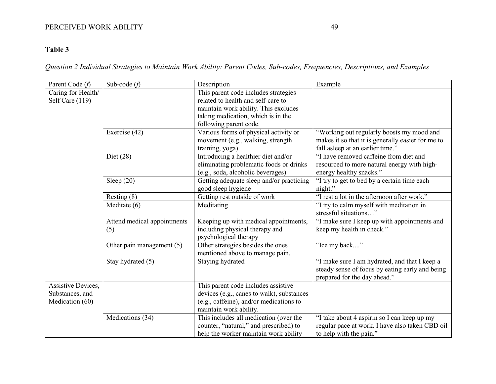# PERCEIVED WORK ABILITY 49

# **Table 3**

*Question 2 Individual Strategies to Maintain Work Ability: Parent Codes, Sub-codes, Frequencies, Descriptions, and Examples*

| Parent Code (f)    | Sub-code $(f)$              | Description                               | Example                                           |
|--------------------|-----------------------------|-------------------------------------------|---------------------------------------------------|
| Caring for Health/ |                             | This parent code includes strategies      |                                                   |
| Self Care (119)    |                             | related to health and self-care to        |                                                   |
|                    |                             | maintain work ability. This excludes      |                                                   |
|                    |                             | taking medication, which is in the        |                                                   |
|                    |                             | following parent code.                    |                                                   |
|                    | Exercise (42)               | Various forms of physical activity or     | "Working out regularly boosts my mood and         |
|                    |                             | movement (e.g., walking, strength         | makes it so that it is generally easier for me to |
|                    |                             | training, yoga)                           | fall asleep at an earlier time."                  |
|                    | Diet $(28)$                 | Introducing a healthier diet and/or       | "I have removed caffeine from diet and            |
|                    |                             | eliminating problematic foods or drinks   | resourced to more natural energy with high-       |
|                    |                             | (e.g., soda, alcoholic beverages)         | energy healthy snacks."                           |
|                    | Sleep $(20)$                | Getting adequate sleep and/or practicing  | "I try to get to bed by a certain time each       |
|                    |                             | good sleep hygiene                        | night."                                           |
|                    | Resting $(8)$               | Getting rest outside of work              | "I rest a lot in the afternoon after work."       |
|                    | Meditate (6)                | Meditating                                | "I try to calm myself with meditation in          |
|                    |                             |                                           | stressful situations"                             |
|                    | Attend medical appointments | Keeping up with medical appointments,     | "I make sure I keep up with appointments and      |
|                    | (5)                         | including physical therapy and            | keep my health in check."                         |
|                    |                             | psychological therapy                     |                                                   |
|                    | Other pain management (5)   | Other strategies besides the ones         | "Ice my back"                                     |
|                    |                             | mentioned above to manage pain.           |                                                   |
|                    | Stay hydrated (5)           | Staying hydrated                          | "I make sure I am hydrated, and that I keep a     |
|                    |                             |                                           | steady sense of focus by eating early and being   |
|                    |                             |                                           | prepared for the day ahead."                      |
| Assistive Devices, |                             | This parent code includes assistive       |                                                   |
| Substances, and    |                             | devices (e.g., canes to walk), substances |                                                   |
| Medication (60)    |                             | (e.g., caffeine), and/or medications to   |                                                   |
|                    |                             | maintain work ability.                    |                                                   |
|                    | Medications (34)            | This includes all medication (over the    | "I take about 4 aspirin so I can keep up my       |
|                    |                             | counter, "natural," and prescribed) to    | regular pace at work. I have also taken CBD oil   |
|                    |                             | help the worker maintain work ability     | to help with the pain."                           |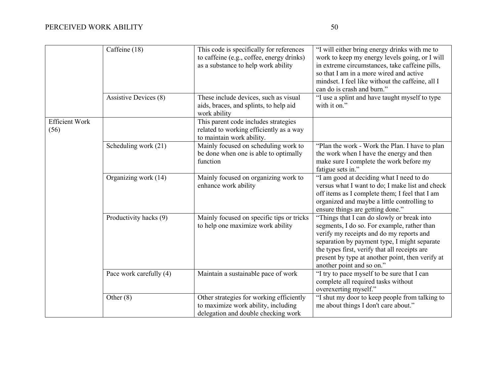|                               | Caffeine (18)                | This code is specifically for references<br>to caffeine (e.g., coffee, energy drinks)<br>as a substance to help work ability | "I will either bring energy drinks with me to<br>work to keep my energy levels going, or I will<br>in extreme circumstances, take caffeine pills,<br>so that I am in a more wired and active<br>mindset. I feel like without the caffeine, all I<br>can do is crash and burn."                                          |
|-------------------------------|------------------------------|------------------------------------------------------------------------------------------------------------------------------|-------------------------------------------------------------------------------------------------------------------------------------------------------------------------------------------------------------------------------------------------------------------------------------------------------------------------|
|                               | <b>Assistive Devices (8)</b> | These include devices, such as visual<br>aids, braces, and splints, to help aid<br>work ability                              | "I use a splint and have taught myself to type<br>with it on."                                                                                                                                                                                                                                                          |
| <b>Efficient Work</b><br>(56) |                              | This parent code includes strategies<br>related to working efficiently as a way<br>to maintain work ability.                 |                                                                                                                                                                                                                                                                                                                         |
|                               | Scheduling work (21)         | Mainly focused on scheduling work to<br>be done when one is able to optimally<br>function                                    | "Plan the work - Work the Plan. I have to plan<br>the work when I have the energy and then<br>make sure I complete the work before my<br>fatigue sets in."                                                                                                                                                              |
|                               | Organizing work (14)         | Mainly focused on organizing work to<br>enhance work ability                                                                 | "I am good at deciding what I need to do<br>versus what I want to do; I make list and check<br>off items as I complete them; I feel that I am<br>organized and maybe a little controlling to<br>ensure things are getting done."                                                                                        |
|                               | Productivity hacks (9)       | Mainly focused on specific tips or tricks<br>to help one maximize work ability                                               | "Things that I can do slowly or break into<br>segments, I do so. For example, rather than<br>verify my receipts and do my reports and<br>separation by payment type, I might separate<br>the types first, verify that all receipts are<br>present by type at another point, then verify at<br>another point and so on." |
|                               | Pace work carefully (4)      | Maintain a sustainable pace of work                                                                                          | "I try to pace myself to be sure that I can<br>complete all required tasks without<br>overexerting myself."                                                                                                                                                                                                             |
|                               | Other $(8)$                  | Other strategies for working efficiently<br>to maximize work ability, including<br>delegation and double checking work       | "I shut my door to keep people from talking to<br>me about things I don't care about."                                                                                                                                                                                                                                  |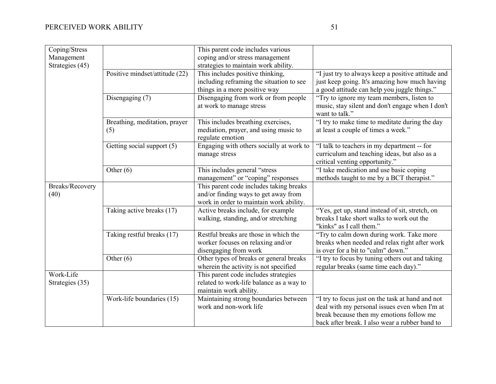| Coping/Stress   |                                | This parent code includes various                                             |                                                    |
|-----------------|--------------------------------|-------------------------------------------------------------------------------|----------------------------------------------------|
| Management      |                                | coping and/or stress management                                               |                                                    |
| Strategies (45) |                                | strategies to maintain work ability.                                          |                                                    |
|                 | Positive mindset/attitude (22) | This includes positive thinking,                                              | "I just try to always keep a positive attitude and |
|                 |                                | including reframing the situation to see                                      | just keep going. It's amazing how much having      |
|                 |                                | things in a more positive way                                                 | a good attitude can help you juggle things."       |
|                 | Disengaging (7)                | Disengaging from work or from people                                          | "Try to ignore my team members, listen to          |
|                 |                                | at work to manage stress                                                      | music, stay silent and don't engage when I don't   |
|                 |                                |                                                                               | want to talk."                                     |
|                 | Breathing, meditation, prayer  | This includes breathing exercises,                                            | "I try to make time to meditate during the day     |
|                 | (5)                            | mediation, prayer, and using music to                                         | at least a couple of times a week."                |
|                 |                                | regulate emotion                                                              |                                                    |
|                 | Getting social support (5)     | Engaging with others socially at work to                                      | "I talk to teachers in my department -- for        |
|                 |                                | manage stress                                                                 | curriculum and teaching ideas, but also as a       |
|                 |                                |                                                                               | critical venting opportunity."                     |
|                 | Other $(6)$                    | This includes general "stress                                                 | "I take medication and use basic coping            |
|                 |                                | management" or "coping" responses                                             | methods taught to me by a BCT therapist."          |
| Breaks/Recovery |                                | This parent code includes taking breaks                                       |                                                    |
| (40)            |                                | and/or finding ways to get away from                                          |                                                    |
|                 |                                | work in order to maintain work ability.<br>Active breaks include, for example | "Yes, get up, stand instead of sit, stretch, on    |
|                 | Taking active breaks (17)      | walking, standing, and/or stretching                                          | breaks I take short walks to work out the          |
|                 |                                |                                                                               | "kinks" as I call them."                           |
|                 | Taking restful breaks (17)     | Restful breaks are those in which the                                         | "Try to calm down during work. Take more           |
|                 |                                | worker focuses on relaxing and/or                                             | breaks when needed and relax right after work      |
|                 |                                | disengaging from work                                                         | is over for a bit to "calm" down."                 |
|                 | Other $(6)$                    | Other types of breaks or general breaks                                       | "I try to focus by tuning others out and taking    |
|                 |                                | wherein the activity is not specified                                         | regular breaks (same time each day)."              |
| Work-Life       |                                | This parent code includes strategies                                          |                                                    |
| Strategies (35) |                                | related to work-life balance as a way to                                      |                                                    |
|                 |                                | maintain work ability.                                                        |                                                    |
|                 | Work-life boundaries (15)      | Maintaining strong boundaries between                                         | "I try to focus just on the task at hand and not   |
|                 |                                | work and non-work life                                                        | deal with my personal issues even when I'm at      |
|                 |                                |                                                                               | break because then my emotions follow me           |
|                 |                                |                                                                               | back after break. I also wear a rubber band to     |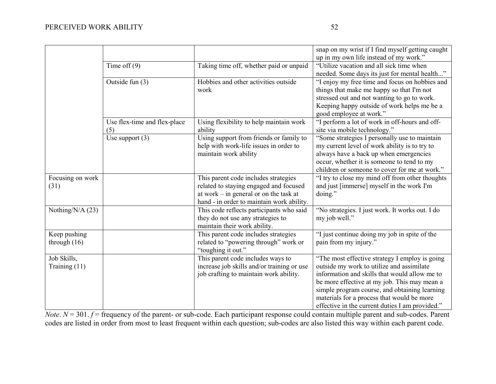|                  |                              |                                                                                      | snap on my wrist if I find myself getting caught                                            |
|------------------|------------------------------|--------------------------------------------------------------------------------------|---------------------------------------------------------------------------------------------|
|                  |                              |                                                                                      | up in my own life instead of my work."                                                      |
|                  | Time of $f(9)$               | Taking time off, whether paid or unpaid                                              | "Utilize vacation and all sick time when                                                    |
|                  |                              |                                                                                      | needed. Some days its just for mental health"                                               |
|                  | Outside fun $(3)$            | Hobbies and other activities outside                                                 | "I enjoy my free time and focus on hobbies and                                              |
|                  |                              | work                                                                                 | things that make me happy so that I'm not                                                   |
|                  |                              |                                                                                      | stressed out and not wanting to go to work.                                                 |
|                  |                              |                                                                                      | Keeping happy outside of work helps me be a                                                 |
|                  |                              |                                                                                      | good employee at work."                                                                     |
|                  | Use flex-time and flex-place | Using flexibility to help maintain work                                              | "I perform a lot of work in off-hours and off-                                              |
|                  | (5)                          | ability                                                                              | site via mobile technology."                                                                |
|                  | Use support $(3)$            | Using support from friends or family to                                              | "Some strategies I personally use to maintain                                               |
|                  |                              | help with work-life issues in order to                                               | my current level of work ability is to try to                                               |
|                  |                              | maintain work ability                                                                | always have a back up when emergencies                                                      |
|                  |                              |                                                                                      | occur, whether it is someone to tend to my                                                  |
|                  |                              |                                                                                      | children or someone to cover for me at work."                                               |
| Focusing on work |                              | This parent code includes strategies                                                 | "I try to close my mind off from other thoughts                                             |
| (31)             |                              | related to staying engaged and focused                                               | and just [immerse] myself in the work I'm                                                   |
|                  |                              | at work – in general or on the task at                                               | doing."                                                                                     |
|                  |                              | hand - in order to maintain work ability.                                            |                                                                                             |
| Nothing/N/A (23) |                              | This code reflects participants who said                                             | "No strategies. I just work. It works out. I do                                             |
|                  |                              | they do not use any strategies to                                                    | my job well."                                                                               |
|                  |                              | maintain their work ability.                                                         |                                                                                             |
| Keep pushing     |                              | This parent code includes strategies                                                 | "I just continue doing my job in spite of the                                               |
| through $(16)$   |                              | related to "powering through" work or                                                | pain from my injury."                                                                       |
|                  |                              | "toughing it out."                                                                   |                                                                                             |
| Job Skills,      |                              | This parent code includes ways to                                                    | "The most effective strategy I employ is going<br>outside my work to utilize and assimilate |
| Training (11)    |                              | increase job skills and/or training or use<br>job crafting to maintain work ability. | information and skills that would allow me to                                               |
|                  |                              |                                                                                      | be more effective at my job. This may mean a                                                |
|                  |                              |                                                                                      | simple program course, and obtaining learning                                               |
|                  |                              |                                                                                      | materials for a process that would be more                                                  |
|                  |                              |                                                                                      | effective in the current duties I am provided."                                             |
|                  |                              |                                                                                      |                                                                                             |

*Note*. *N* = 301. *f* = frequency of the parent- or sub-code. Each participant response could contain multiple parent and sub-codes. Parent codes are listed in order from most to least frequent within each question; sub-codes are also listed this way within each parent code.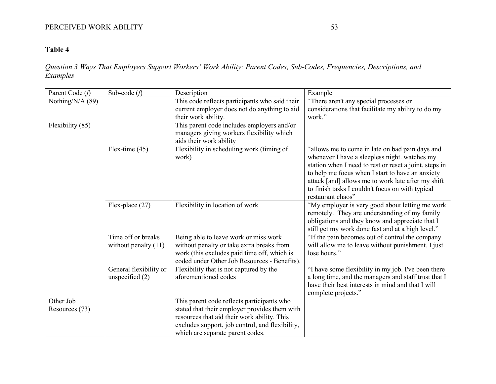# PERCEIVED WORK ABILITY 53

# **Table 4**

*Question 3 Ways That Employers Support Workers' Work Ability: Parent Codes, Sub-Codes, Frequencies, Descriptions, and Examples*

| Parent Code (f)             | Sub-code $(f)$                               | Description                                                                                                                                                                                                                       | Example                                                                                                                                                                                                                                                                                                                                       |
|-----------------------------|----------------------------------------------|-----------------------------------------------------------------------------------------------------------------------------------------------------------------------------------------------------------------------------------|-----------------------------------------------------------------------------------------------------------------------------------------------------------------------------------------------------------------------------------------------------------------------------------------------------------------------------------------------|
| Nothing/N/A (89)            |                                              | This code reflects participants who said their<br>current employer does not do anything to aid                                                                                                                                    | "There aren't any special processes or<br>considerations that facilitate my ability to do my                                                                                                                                                                                                                                                  |
|                             |                                              | their work ability.                                                                                                                                                                                                               | work."                                                                                                                                                                                                                                                                                                                                        |
| Flexibility (85)            |                                              | This parent code includes employers and/or<br>managers giving workers flexibility which<br>aids their work ability                                                                                                                |                                                                                                                                                                                                                                                                                                                                               |
|                             | Flex-time $(45)$                             | Flexibility in scheduling work (timing of<br>work)                                                                                                                                                                                | "allows me to come in late on bad pain days and<br>whenever I have a sleepless night. watches my<br>station when I need to rest or reset a joint. steps in<br>to help me focus when I start to have an anxiety<br>attack [and] allows me to work late after my shift<br>to finish tasks I couldn't focus on with typical<br>restaurant chaos" |
|                             | Flex-place $(27)$                            | Flexibility in location of work                                                                                                                                                                                                   | "My employer is very good about letting me work<br>remotely. They are understanding of my family<br>obligations and they know and appreciate that I<br>still get my work done fast and at a high level."                                                                                                                                      |
|                             | Time off or breaks<br>without penalty $(11)$ | Being able to leave work or miss work<br>without penalty or take extra breaks from<br>work (this excludes paid time off, which is<br>coded under Other Job Resources - Benefits).                                                 | "If the pain becomes out of control the company<br>will allow me to leave without punishment. I just<br>lose hours."                                                                                                                                                                                                                          |
|                             | General flexibility or<br>unspecified $(2)$  | Flexibility that is not captured by the<br>aforementioned codes                                                                                                                                                                   | "I have some flexibility in my job. I've been there<br>a long time, and the managers and staff trust that I<br>have their best interests in mind and that I will<br>complete projects."                                                                                                                                                       |
| Other Job<br>Resources (73) |                                              | This parent code reflects participants who<br>stated that their employer provides them with<br>resources that aid their work ability. This<br>excludes support, job control, and flexibility,<br>which are separate parent codes. |                                                                                                                                                                                                                                                                                                                                               |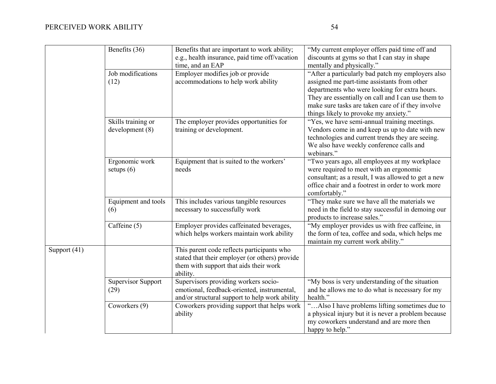|              | Benefits (36)                        | Benefits that are important to work ability;<br>e.g., health insurance, paid time off/vacation<br>time, and an EAP                                 | "My current employer offers paid time off and<br>discounts at gyms so that I can stay in shape<br>mentally and physically."                                                                                                                                                                           |
|--------------|--------------------------------------|----------------------------------------------------------------------------------------------------------------------------------------------------|-------------------------------------------------------------------------------------------------------------------------------------------------------------------------------------------------------------------------------------------------------------------------------------------------------|
|              | Job modifications<br>(12)            | Employer modifies job or provide<br>accommodations to help work ability                                                                            | "After a particularly bad patch my employers also<br>assigned me part-time assistants from other<br>departments who were looking for extra hours.<br>They are essentially on call and I can use them to<br>make sure tasks are taken care of if they involve<br>things likely to provoke my anxiety." |
|              | Skills training or<br>development(8) | The employer provides opportunities for<br>training or development.                                                                                | "Yes, we have semi-annual training meetings.<br>Vendors come in and keep us up to date with new<br>technologies and current trends they are seeing.<br>We also have weekly conference calls and<br>webinars."                                                                                         |
|              | Ergonomic work<br>setups $(6)$       | Equipment that is suited to the workers'<br>needs                                                                                                  | "Two years ago, all employees at my workplace<br>were required to meet with an ergonomic<br>consultant; as a result, I was allowed to get a new<br>office chair and a footrest in order to work more<br>comfortably."                                                                                 |
|              | Equipment and tools<br>(6)           | This includes various tangible resources<br>necessary to successfully work                                                                         | "They make sure we have all the materials we<br>need in the field to stay successful in demoing our<br>products to increase sales."                                                                                                                                                                   |
|              | Caffeine (5)                         | Employer provides caffeinated beverages,<br>which helps workers maintain work ability                                                              | "My employer provides us with free caffeine, in<br>the form of tea, coffee and soda, which helps me<br>maintain my current work ability."                                                                                                                                                             |
| Support (41) |                                      | This parent code reflects participants who<br>stated that their employer (or others) provide<br>them with support that aids their work<br>ability. |                                                                                                                                                                                                                                                                                                       |
|              | <b>Supervisor Support</b><br>(29)    | Supervisors providing workers socio-<br>emotional, feedback-oriented, instrumental,<br>and/or structural support to help work ability              | "My boss is very understanding of the situation<br>and he allows me to do what is necessary for my<br>health."                                                                                                                                                                                        |
|              | Coworkers (9)                        | Coworkers providing support that helps work<br>ability                                                                                             | "Also I have problems lifting sometimes due to<br>a physical injury but it is never a problem because<br>my coworkers understand and are more then<br>happy to help."                                                                                                                                 |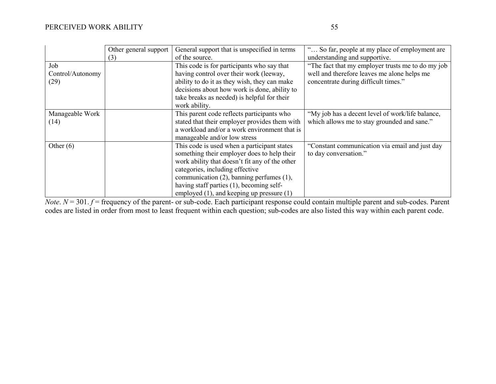|                  | Other general support | General support that is unspecified in terms   | " So far, people at my place of employment are    |
|------------------|-----------------------|------------------------------------------------|---------------------------------------------------|
|                  | (3)                   | of the source.                                 | understanding and supportive.                     |
| Job              |                       | This code is for participants who say that     | "The fact that my employer trusts me to do my job |
| Control/Autonomy |                       | having control over their work (leeway,        | well and therefore leaves me alone helps me       |
| (29)             |                       | ability to do it as they wish, they can make   | concentrate during difficult times."              |
|                  |                       | decisions about how work is done, ability to   |                                                   |
|                  |                       | take breaks as needed) is helpful for their    |                                                   |
|                  |                       | work ability.                                  |                                                   |
| Manageable Work  |                       | This parent code reflects participants who     | "My job has a decent level of work/life balance,  |
| (14)             |                       | stated that their employer provides them with  | which allows me to stay grounded and sane."       |
|                  |                       | a workload and/or a work environment that is   |                                                   |
|                  |                       | manageable and/or low stress                   |                                                   |
| Other $(6)$      |                       | This code is used when a participant states    | "Constant communication via email and just day    |
|                  |                       | something their employer does to help their    | to day conversation."                             |
|                  |                       | work ability that doesn't fit any of the other |                                                   |
|                  |                       | categories, including effective                |                                                   |
|                  |                       | communication $(2)$ , banning perfumes $(1)$ , |                                                   |
|                  |                       | having staff parties (1), becoming self-       |                                                   |
|                  |                       | employed $(1)$ , and keeping up pressure $(1)$ |                                                   |

*Note*. *N* = 301. *f* = frequency of the parent- or sub-code. Each participant response could contain multiple parent and sub-codes. Parent codes are listed in order from most to least frequent within each question; sub-codes are also listed this way within each parent code.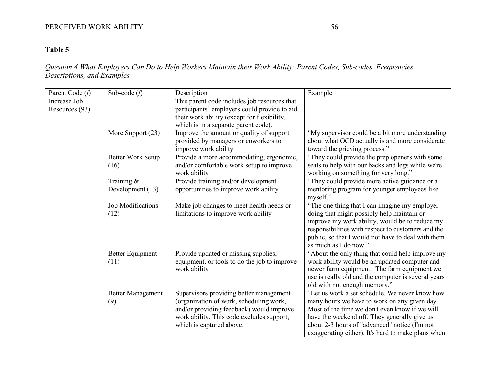# PERCEIVED WORK ABILITY 56

# **Table 5**

*Question 4 What Employers Can Do to Help Workers Maintain their Work Ability: Parent Codes, Sub-codes, Frequencies, Descriptions, and Examples*

| Parent Code (f)                | Sub-code $(f)$                   | Description                                                                                                                                                                                             | Example                                                                                                                                                                                                                                                                                                 |
|--------------------------------|----------------------------------|---------------------------------------------------------------------------------------------------------------------------------------------------------------------------------------------------------|---------------------------------------------------------------------------------------------------------------------------------------------------------------------------------------------------------------------------------------------------------------------------------------------------------|
| Increase Job<br>Resources (93) |                                  | This parent code includes job resources that<br>participants' employers could provide to aid<br>their work ability (except for flexibility,<br>which is in a separate parent code).                     |                                                                                                                                                                                                                                                                                                         |
|                                | More Support (23)                | Improve the amount or quality of support<br>provided by managers or coworkers to<br>improve work ability                                                                                                | "My supervisor could be a bit more understanding<br>about what OCD actually is and more considerate<br>toward the grieving process."                                                                                                                                                                    |
|                                | Better Work Setup<br>(16)        | Provide a more accommodating, ergonomic,<br>and/or comfortable work setup to improve<br>work ability                                                                                                    | "They could provide the prep openers with some<br>seats to help with our backs and legs while we're<br>working on something for very long."                                                                                                                                                             |
|                                | Training &<br>Development (13)   | Provide training and/or development<br>opportunities to improve work ability                                                                                                                            | "They could provide more active guidance or a<br>mentoring program for younger employees like<br>myself."                                                                                                                                                                                               |
|                                | <b>Job Modifications</b><br>(12) | Make job changes to meet health needs or<br>limitations to improve work ability                                                                                                                         | "The one thing that I can imagine my employer<br>doing that might possibly help maintain or<br>improve my work ability, would be to reduce my<br>responsibilities with respect to customers and the<br>public, so that I would not have to deal with them<br>as much as I do now."                      |
|                                | <b>Better Equipment</b><br>(11)  | Provide updated or missing supplies,<br>equipment, or tools to do the job to improve<br>work ability                                                                                                    | "About the only thing that could help improve my<br>work ability would be an updated computer and<br>newer farm equipment. The farm equipment we<br>use is really old and the computer is several years<br>old with not enough memory."                                                                 |
|                                | <b>Better Management</b><br>(9)  | Supervisors providing better management<br>(organization of work, scheduling work,<br>and/or providing feedback) would improve<br>work ability. This code excludes support,<br>which is captured above. | "Let us work a set schedule. We never know how<br>many hours we have to work on any given day.<br>Most of the time we don't even know if we will<br>have the weekend off. They generally give us<br>about 2-3 hours of "advanced" notice (I'm not<br>exaggerating either). It's hard to make plans when |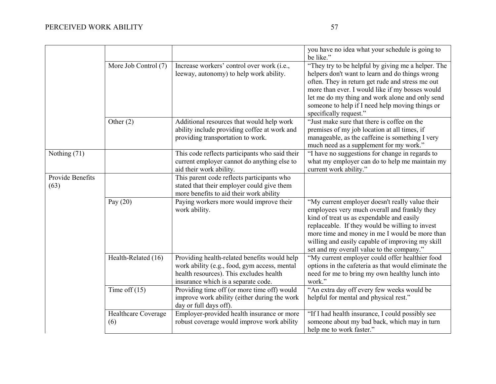|                          |                            |                                                                                                                                                                                | you have no idea what your schedule is going to<br>be like."                                                                                                                                                                                                                                                                                       |
|--------------------------|----------------------------|--------------------------------------------------------------------------------------------------------------------------------------------------------------------------------|----------------------------------------------------------------------------------------------------------------------------------------------------------------------------------------------------------------------------------------------------------------------------------------------------------------------------------------------------|
|                          | More Job Control (7)       | Increase workers' control over work (i.e.,<br>leeway, autonomy) to help work ability.                                                                                          | "They try to be helpful by giving me a helper. The<br>helpers don't want to learn and do things wrong<br>often. They in return get rude and stress me out<br>more than ever. I would like if my bosses would<br>let me do my thing and work alone and only send<br>someone to help if I need help moving things or<br>specifically request."       |
|                          | Other $(2)$                | Additional resources that would help work<br>ability include providing coffee at work and<br>providing transportation to work.                                                 | "Just make sure that there is coffee on the<br>premises of my job location at all times, if<br>manageable, as the caffeine is something I very<br>much need as a supplement for my work."                                                                                                                                                          |
| Nothing (71)             |                            | This code reflects participants who said their<br>current employer cannot do anything else to<br>aid their work ability.                                                       | "I have no suggestions for change in regards to<br>what my employer can do to help me maintain my<br>current work ability."                                                                                                                                                                                                                        |
| Provide Benefits<br>(63) |                            | This parent code reflects participants who<br>stated that their employer could give them<br>more benefits to aid their work ability                                            |                                                                                                                                                                                                                                                                                                                                                    |
|                          | Pay $(20)$                 | Paying workers more would improve their<br>work ability.                                                                                                                       | "My current employer doesn't really value their<br>employees very much overall and frankly they<br>kind of treat us as expendable and easily<br>replaceable. If they would be willing to invest<br>more time and money in me I would be more than<br>willing and easily capable of improving my skill<br>set and my overall value to the company." |
|                          | Health-Related (16)        | Providing health-related benefits would help<br>work ability (e.g., food, gym access, mental<br>health resources). This excludes health<br>insurance which is a separate code. | "My current employer could offer healthier food<br>options in the cafeteria as that would eliminate the<br>need for me to bring my own healthy lunch into<br>work."                                                                                                                                                                                |
|                          | Time off $(15)$            | Providing time off (or more time off) would<br>improve work ability (either during the work<br>day or full days off).                                                          | "An extra day off every few weeks would be<br>helpful for mental and physical rest."                                                                                                                                                                                                                                                               |
|                          | Healthcare Coverage<br>(6) | Employer-provided health insurance or more<br>robust coverage would improve work ability                                                                                       | "If I had health insurance, I could possibly see<br>someone about my bad back, which may in turn<br>help me to work faster."                                                                                                                                                                                                                       |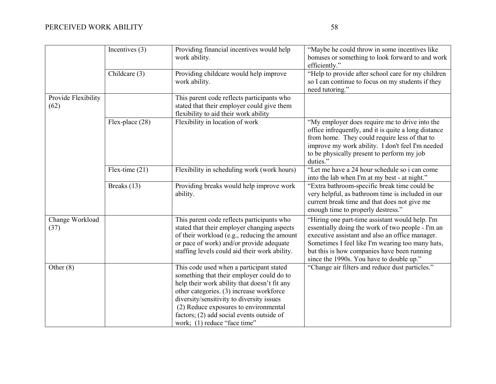# PERCEIVED WORK ABILITY 58

|                             | Incentives $(3)$  | Providing financial incentives would help<br>work ability.                                                                        | "Maybe he could throw in some incentives like<br>bonuses or something to look forward to and work<br>efficiently."                                                                                                                                                    |
|-----------------------------|-------------------|-----------------------------------------------------------------------------------------------------------------------------------|-----------------------------------------------------------------------------------------------------------------------------------------------------------------------------------------------------------------------------------------------------------------------|
|                             | Childcare (3)     | Providing childcare would help improve<br>work ability.                                                                           | "Help to provide after school care for my children<br>so I can continue to focus on my students if they<br>need tutoring."                                                                                                                                            |
| Provide Flexibility<br>(62) |                   | This parent code reflects participants who<br>stated that their employer could give them<br>flexibility to aid their work ability |                                                                                                                                                                                                                                                                       |
|                             | Flex-place $(28)$ | Flexibility in location of work                                                                                                   | "My employer does require me to drive into the<br>office infrequently, and it is quite a long distance<br>from home. They could require less of that to<br>improve my work ability. I don't feel I'm needed<br>to be physically present to perform my job<br>duties." |
|                             | Flex-time $(21)$  | Flexibility in scheduling work (work hours)                                                                                       | "Let me have a 24 hour schedule so i can come<br>into the lab when I'm at my best - at night."                                                                                                                                                                        |
|                             | Breaks (13)       | Providing breaks would help improve work<br>ability.                                                                              | "Extra bathroom-specific break time could be<br>very helpful, as bathroom time is included in our<br>current break time and that does not give me                                                                                                                     |

|                         | ability.                                                                                                                                                                                                                                                                                                                                             | very helpful, as bathroom time is included in our<br>current break time and that does not give me<br>enough time to properly destress."                                                                                                                                                                |
|-------------------------|------------------------------------------------------------------------------------------------------------------------------------------------------------------------------------------------------------------------------------------------------------------------------------------------------------------------------------------------------|--------------------------------------------------------------------------------------------------------------------------------------------------------------------------------------------------------------------------------------------------------------------------------------------------------|
| Change Workload<br>(37) | This parent code reflects participants who<br>stated that their employer changing aspects<br>of their workload (e.g., reducing the amount<br>or pace of work) and/or provide adequate<br>staffing levels could aid their work ability.                                                                                                               | "Hiring one part-time assistant would help. I'm<br>essentially doing the work of two people - I'm an<br>executive assistant and also an office manager.<br>Sometimes I feel like I'm wearing too many hats,<br>but this is how companies have been running<br>since the 1990s. You have to double up." |
| Other $(8)$             | This code used when a participant stated<br>something that their employer could do to<br>help their work ability that doesn't fit any<br>other categories. (3) increase workforce<br>diversity/sensitivity to diversity issues<br>(2) Reduce exposures to environmental<br>factors; (2) add social events outside of<br>work; (1) reduce "face time" | "Change air filters and reduce dust particles."                                                                                                                                                                                                                                                        |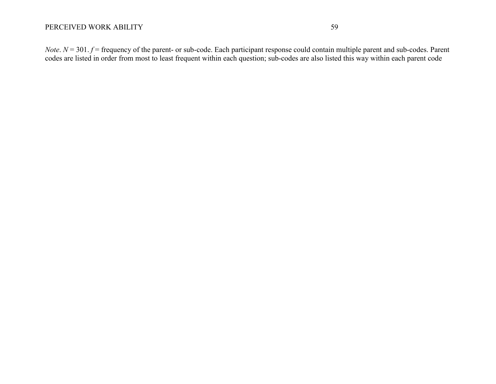*Note*. *N* = 301. *f* = frequency of the parent- or sub-code. Each participant response could contain multiple parent and sub-codes. Parent codes are listed in order from most to least frequent within each question; sub-codes are also listed this way within each parent code